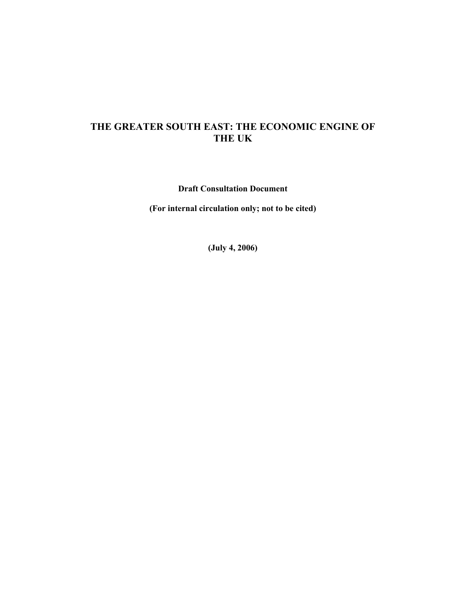# **THE GREATER SOUTH EAST: THE ECONOMIC ENGINE OF THE UK**

**Draft Consultation Document** 

**(For internal circulation only; not to be cited)** 

**(July 4, 2006)**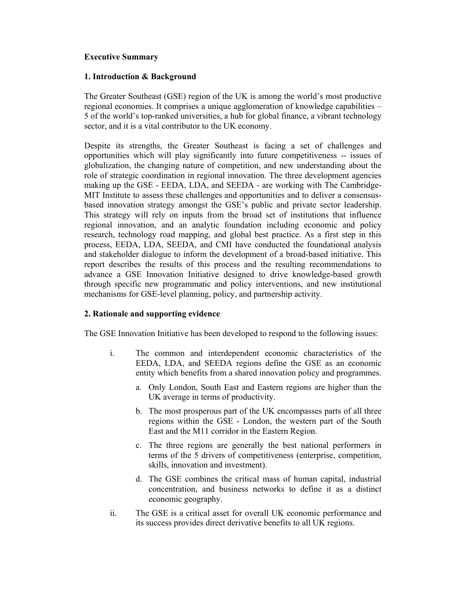## **Executive Summary**

## **1. Introduction & Background**

The Greater Southeast (GSE) region of the UK is among the world's most productive regional economies. It comprises a unique agglomeration of knowledge capabilities – 5 of the world's top-ranked universities, a hub for global finance, a vibrant technology sector, and it is a vital contributor to the UK economy.

Despite its strengths, the Greater Southeast is facing a set of challenges and opportunities which will play significantly into future competitiveness -- issues of globalization, the changing nature of competition, and new understanding about the role of strategic coordination in regional innovation. The three development agencies making up the GSE - EEDA, LDA, and SEEDA - are working with The Cambridge-MIT Institute to assess these challenges and opportunities and to deliver a consensusbased innovation strategy amongst the GSE's public and private sector leadership. This strategy will rely on inputs from the broad set of institutions that influence regional innovation, and an analytic foundation including economic and policy research, technology road mapping, and global best practice. As a first step in this process, EEDA, LDA, SEEDA, and CMI have conducted the foundational analysis and stakeholder dialogue to inform the development of a broad-based initiative. This report describes the results of this process and the resulting recommendations to advance a GSE Innovation Initiative designed to drive knowledge-based growth through specific new programmatic and policy interventions, and new institutional mechanisms for GSE-level planning, policy, and partnership activity.

## **2. Rationale and supporting evidence**

The GSE Innovation Initiative has been developed to respond to the following issues:

- i. The common and interdependent economic characteristics of the EEDA, LDA, and SEEDA regions define the GSE as an economic entity which benefits from a shared innovation policy and programmes.
	- a. Only London, South East and Eastern regions are higher than the UK average in terms of productivity.
	- b. The most prosperous part of the UK encompasses parts of all three regions within the GSE - London, the western part of the South East and the M11 corridor in the Eastern Region.
	- c. The three regions are generally the best national performers in terms of the 5 drivers of competitiveness (enterprise, competition, skills, innovation and investment).
	- d. The GSE combines the critical mass of human capital, industrial concentration, and business networks to define it as a distinct economic geography.
- ii. The GSE is a critical asset for overall UK economic performance and its success provides direct derivative benefits to all UK regions.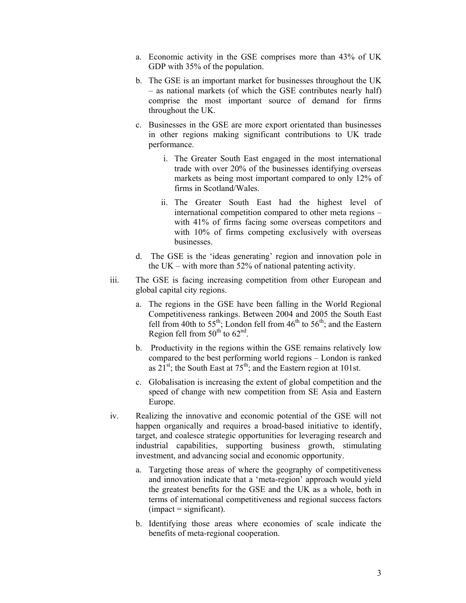- a. Economic activity in the GSE comprises more than 43% of UK GDP with 35% of the population.
- b. The GSE is an important market for businesses throughout the UK – as national markets (of which the GSE contributes nearly half) comprise the most important source of demand for firms throughout the UK.
- c. Businesses in the GSE are more export orientated than businesses in other regions making significant contributions to UK trade performance.
	- i. The Greater South East engaged in the most international trade with over 20% of the businesses identifying overseas markets as being most important compared to only 12% of firms in Scotland/Wales.
	- ii. The Greater South East had the highest level of international competition compared to other meta regions – with 41% of firms facing some overseas competitors and with 10% of firms competing exclusively with overseas businesses.
- d. The GSE is the 'ideas generating' region and innovation pole in the UK – with more than 52% of national patenting activity.
- iii. The GSE is facing increasing competition from other European and global capital city regions.
	- a. The regions in the GSE have been falling in the World Regional Competitiveness rankings. Between 2004 and 2005 the South East fell from 40th to  $55^{th}$ ; London fell from  $46^{th}$  to  $56^{th}$ ; and the Eastern Region fell from  $50<sup>th</sup>$  to  $62<sup>nd</sup>$ .
	- b. Productivity in the regions within the GSE remains relatively low compared to the best performing world regions – London is ranked as  $21^{st}$ ; the South East at  $75^{th}$ ; and the Eastern region at 101st.
	- c. Globalisation is increasing the extent of global competition and the speed of change with new competition from SE Asia and Eastern Europe.
- iv. Realizing the innovative and economic potential of the GSE will not happen organically and requires a broad-based initiative to identify, target, and coalesce strategic opportunities for leveraging research and industrial capabilities, supporting business growth, stimulating investment, and advancing social and economic opportunity.
	- a. Targeting those areas of where the geography of competitiveness and innovation indicate that a 'meta-region' approach would yield the greatest benefits for the GSE and the UK as a whole, both in terms of international competitiveness and regional success factors  $($ impact = significant $).$
	- b. Identifying those areas where economies of scale indicate the benefits of meta-regional cooperation.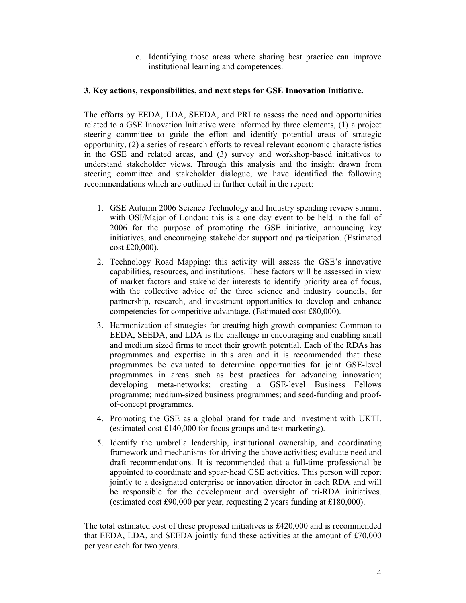c. Identifying those areas where sharing best practice can improve institutional learning and competences.

## **3. Key actions, responsibilities, and next steps for GSE Innovation Initiative.**

The efforts by EEDA, LDA, SEEDA, and PRI to assess the need and opportunities related to a GSE Innovation Initiative were informed by three elements, (1) a project steering committee to guide the effort and identify potential areas of strategic opportunity, (2) a series of research efforts to reveal relevant economic characteristics in the GSE and related areas, and (3) survey and workshop-based initiatives to understand stakeholder views. Through this analysis and the insight drawn from steering committee and stakeholder dialogue, we have identified the following recommendations which are outlined in further detail in the report:

- 1. GSE Autumn 2006 Science Technology and Industry spending review summit with OSI/Major of London: this is a one day event to be held in the fall of 2006 for the purpose of promoting the GSE initiative, announcing key initiatives, and encouraging stakeholder support and participation. (Estimated cost £20,000).
- 2. Technology Road Mapping: this activity will assess the GSE's innovative capabilities, resources, and institutions. These factors will be assessed in view of market factors and stakeholder interests to identify priority area of focus, with the collective advice of the three science and industry councils, for partnership, research, and investment opportunities to develop and enhance competencies for competitive advantage. (Estimated cost £80,000).
- 3. Harmonization of strategies for creating high growth companies: Common to EEDA, SEEDA, and LDA is the challenge in encouraging and enabling small and medium sized firms to meet their growth potential. Each of the RDAs has programmes and expertise in this area and it is recommended that these programmes be evaluated to determine opportunities for joint GSE-level programmes in areas such as best practices for advancing innovation; developing meta-networks; creating a GSE-level Business Fellows programme; medium-sized business programmes; and seed-funding and proofof-concept programmes.
- 4. Promoting the GSE as a global brand for trade and investment with UKTI. (estimated cost £140,000 for focus groups and test marketing).
- 5. Identify the umbrella leadership, institutional ownership, and coordinating framework and mechanisms for driving the above activities; evaluate need and draft recommendations. It is recommended that a full-time professional be appointed to coordinate and spear-head GSE activities. This person will report jointly to a designated enterprise or innovation director in each RDA and will be responsible for the development and oversight of tri-RDA initiatives. (estimated cost £90,000 per year, requesting 2 years funding at £180,000).

The total estimated cost of these proposed initiatives is £420,000 and is recommended that EEDA, LDA, and SEEDA jointly fund these activities at the amount of £70,000 per year each for two years.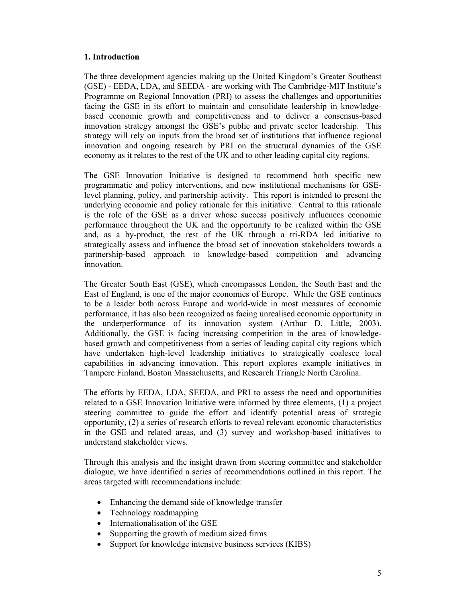## **1. Introduction**

The three development agencies making up the United Kingdom's Greater Southeast (GSE) - EEDA, LDA, and SEEDA - are working with The Cambridge-MIT Institute's Programme on Regional Innovation (PRI) to assess the challenges and opportunities facing the GSE in its effort to maintain and consolidate leadership in knowledgebased economic growth and competitiveness and to deliver a consensus-based innovation strategy amongst the GSE's public and private sector leadership. This strategy will rely on inputs from the broad set of institutions that influence regional innovation and ongoing research by PRI on the structural dynamics of the GSE economy as it relates to the rest of the UK and to other leading capital city regions.

The GSE Innovation Initiative is designed to recommend both specific new programmatic and policy interventions, and new institutional mechanisms for GSElevel planning, policy, and partnership activity. This report is intended to present the underlying economic and policy rationale for this initiative. Central to this rationale is the role of the GSE as a driver whose success positively influences economic performance throughout the UK and the opportunity to be realized within the GSE and, as a by-product, the rest of the UK through a tri-RDA led initiative to strategically assess and influence the broad set of innovation stakeholders towards a partnership-based approach to knowledge-based competition and advancing innovation.

The Greater South East (GSE), which encompasses London, the South East and the East of England, is one of the major economies of Europe. While the GSE continues to be a leader both across Europe and world-wide in most measures of economic performance, it has also been recognized as facing unrealised economic opportunity in the underperformance of its innovation system (Arthur D. Little, 2003). Additionally, the GSE is facing increasing competition in the area of knowledgebased growth and competitiveness from a series of leading capital city regions which have undertaken high-level leadership initiatives to strategically coalesce local capabilities in advancing innovation. This report explores example initiatives in Tampere Finland, Boston Massachusetts, and Research Triangle North Carolina.

The efforts by EEDA, LDA, SEEDA, and PRI to assess the need and opportunities related to a GSE Innovation Initiative were informed by three elements, (1) a project steering committee to guide the effort and identify potential areas of strategic opportunity, (2) a series of research efforts to reveal relevant economic characteristics in the GSE and related areas, and (3) survey and workshop-based initiatives to understand stakeholder views.

Through this analysis and the insight drawn from steering committee and stakeholder dialogue, we have identified a series of recommendations outlined in this report. The areas targeted with recommendations include:

- Enhancing the demand side of knowledge transfer
- Technology roadmapping
- Internationalisation of the GSE
- Supporting the growth of medium sized firms
- Support for knowledge intensive business services (KIBS)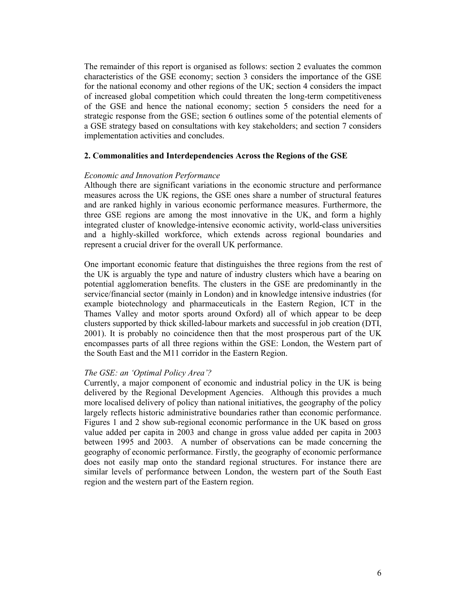The remainder of this report is organised as follows: section 2 evaluates the common characteristics of the GSE economy; section 3 considers the importance of the GSE for the national economy and other regions of the UK; section 4 considers the impact of increased global competition which could threaten the long-term competitiveness of the GSE and hence the national economy; section 5 considers the need for a strategic response from the GSE; section 6 outlines some of the potential elements of a GSE strategy based on consultations with key stakeholders; and section 7 considers implementation activities and concludes.

#### **2. Commonalities and Interdependencies Across the Regions of the GSE**

### *Economic and Innovation Performance*

Although there are significant variations in the economic structure and performance measures across the UK regions, the GSE ones share a number of structural features and are ranked highly in various economic performance measures. Furthermore, the three GSE regions are among the most innovative in the UK, and form a highly integrated cluster of knowledge-intensive economic activity, world-class universities and a highly-skilled workforce, which extends across regional boundaries and represent a crucial driver for the overall UK performance.

One important economic feature that distinguishes the three regions from the rest of the UK is arguably the type and nature of industry clusters which have a bearing on potential agglomeration benefits. The clusters in the GSE are predominantly in the service/financial sector (mainly in London) and in knowledge intensive industries (for example biotechnology and pharmaceuticals in the Eastern Region, ICT in the Thames Valley and motor sports around Oxford) all of which appear to be deep clusters supported by thick skilled-labour markets and successful in job creation (DTI, 2001). It is probably no coincidence then that the most prosperous part of the UK encompasses parts of all three regions within the GSE: London, the Western part of the South East and the M11 corridor in the Eastern Region.

#### *The GSE: an 'Optimal Policy Area'?*

Currently, a major component of economic and industrial policy in the UK is being delivered by the Regional Development Agencies. Although this provides a much more localised delivery of policy than national initiatives, the geography of the policy largely reflects historic administrative boundaries rather than economic performance. Figures 1 and 2 show sub-regional economic performance in the UK based on gross value added per capita in 2003 and change in gross value added per capita in 2003 between 1995 and 2003. A number of observations can be made concerning the geography of economic performance. Firstly, the geography of economic performance does not easily map onto the standard regional structures. For instance there are similar levels of performance between London, the western part of the South East region and the western part of the Eastern region.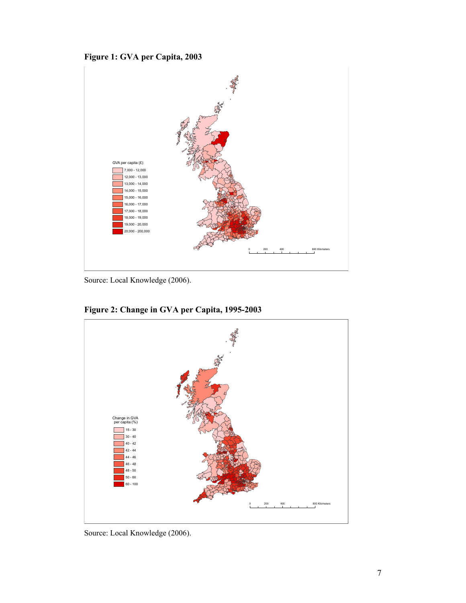



Source: Local Knowledge (2006).



**Figure 2: Change in GVA per Capita, 1995-2003** 

Source: Local Knowledge (2006).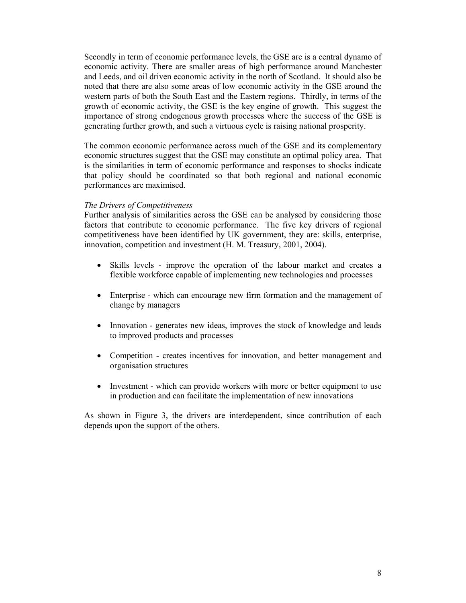Secondly in term of economic performance levels, the GSE arc is a central dynamo of economic activity. There are smaller areas of high performance around Manchester and Leeds, and oil driven economic activity in the north of Scotland. It should also be noted that there are also some areas of low economic activity in the GSE around the western parts of both the South East and the Eastern regions. Thirdly, in terms of the growth of economic activity, the GSE is the key engine of growth. This suggest the importance of strong endogenous growth processes where the success of the GSE is generating further growth, and such a virtuous cycle is raising national prosperity.

The common economic performance across much of the GSE and its complementary economic structures suggest that the GSE may constitute an optimal policy area. That is the similarities in term of economic performance and responses to shocks indicate that policy should be coordinated so that both regional and national economic performances are maximised.

## *The Drivers of Competitiveness*

Further analysis of similarities across the GSE can be analysed by considering those factors that contribute to economic performance. The five key drivers of regional competitiveness have been identified by UK government, they are: skills, enterprise, innovation, competition and investment (H. M. Treasury, 2001, 2004).

- Skills levels improve the operation of the labour market and creates a flexible workforce capable of implementing new technologies and processes
- Enterprise which can encourage new firm formation and the management of change by managers
- Innovation generates new ideas, improves the stock of knowledge and leads to improved products and processes
- Competition creates incentives for innovation, and better management and organisation structures
- Investment which can provide workers with more or better equipment to use in production and can facilitate the implementation of new innovations

As shown in Figure 3, the drivers are interdependent, since contribution of each depends upon the support of the others.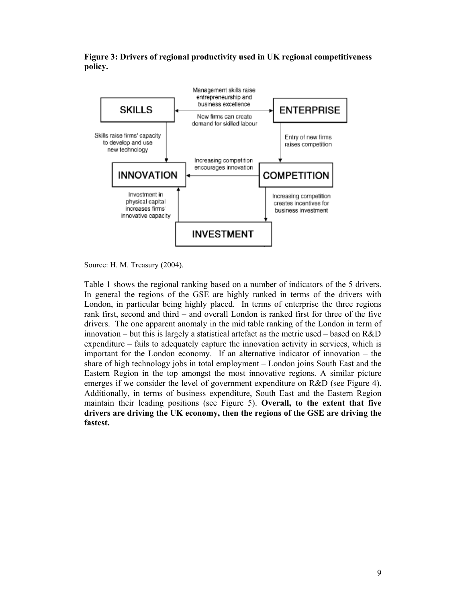**Figure 3: Drivers of regional productivity used in UK regional competitiveness policy.** 



Source: H. M. Treasury (2004).

Table 1 shows the regional ranking based on a number of indicators of the 5 drivers. In general the regions of the GSE are highly ranked in terms of the drivers with London, in particular being highly placed. In terms of enterprise the three regions rank first, second and third – and overall London is ranked first for three of the five drivers. The one apparent anomaly in the mid table ranking of the London in term of innovation – but this is largely a statistical artefact as the metric used – based on  $R&D$ expenditure – fails to adequately capture the innovation activity in services, which is important for the London economy. If an alternative indicator of innovation – the share of high technology jobs in total employment – London joins South East and the Eastern Region in the top amongst the most innovative regions. A similar picture emerges if we consider the level of government expenditure on R&D (see Figure 4). Additionally, in terms of business expenditure, South East and the Eastern Region maintain their leading positions (see Figure 5). **Overall, to the extent that five drivers are driving the UK economy, then the regions of the GSE are driving the fastest.**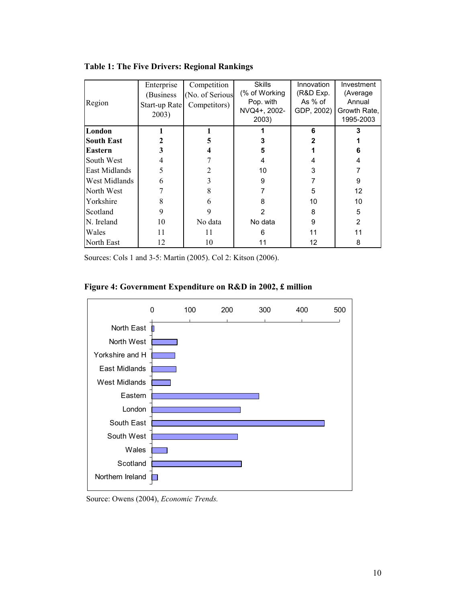| Region            | Enterprise<br>(Business)<br>Start-up Rate<br>2003) | Competition<br>(No. of Serious<br>Competitors) | <b>Skills</b><br>(% of Working<br>Pop. with<br>NVQ4+, 2002-<br>2003) | Innovation<br>(R&D Exp.<br>As % of<br>GDP, 2002) | Investment<br>(Average<br>Annual<br>Growth Rate.<br>1995-2003 |
|-------------------|----------------------------------------------------|------------------------------------------------|----------------------------------------------------------------------|--------------------------------------------------|---------------------------------------------------------------|
| London            |                                                    |                                                |                                                                      | 6                                                | 3                                                             |
| <b>South East</b> |                                                    | 5                                              | 3                                                                    | 2                                                |                                                               |
| <b>Eastern</b>    |                                                    |                                                | 5                                                                    |                                                  | 6                                                             |
| South West        |                                                    |                                                | 4                                                                    |                                                  | 4                                                             |
| East Midlands     | 5                                                  |                                                | 10                                                                   | 3                                                |                                                               |
| West Midlands     | 6                                                  |                                                | 9                                                                    |                                                  | 9                                                             |
| North West        |                                                    | 8                                              |                                                                      | 5                                                | 12                                                            |
| Yorkshire         | 8                                                  | 6                                              | 8                                                                    | 10                                               | 10                                                            |
| Scotland          | 9                                                  | 9                                              | 2                                                                    | 8                                                | 5                                                             |
| N. Ireland        | 10                                                 | No data                                        | No data                                                              | 9                                                | 2                                                             |
| Wales             | 11                                                 | 11                                             | 6                                                                    | 11                                               | 11                                                            |
| North East        | 12                                                 | 10                                             | 11                                                                   | 12                                               | 8                                                             |

**Table 1: The Five Drivers: Regional Rankings** 

Sources: Cols 1 and 3-5: Martin (2005). Col 2: Kitson (2006).





Source: Owens (2004), *Economic Trends.*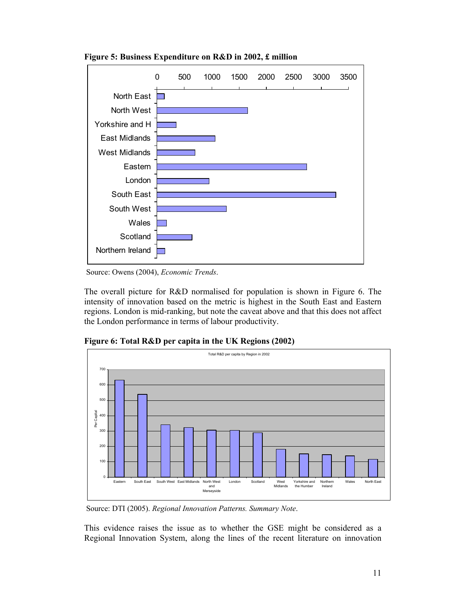

**Figure 5: Business Expenditure on R&D in 2002, £ million**

Source: Owens (2004), *Economic Trends*.

The overall picture for R&D normalised for population is shown in Figure 6. The intensity of innovation based on the metric is highest in the South East and Eastern regions. London is mid-ranking, but note the caveat above and that this does not affect the London performance in terms of labour productivity.



**Figure 6: Total R&D per capita in the UK Regions (2002)**

Source: DTI (2005). *Regional Innovation Patterns. Summary Note*.

This evidence raises the issue as to whether the GSE might be considered as a Regional Innovation System, along the lines of the recent literature on innovation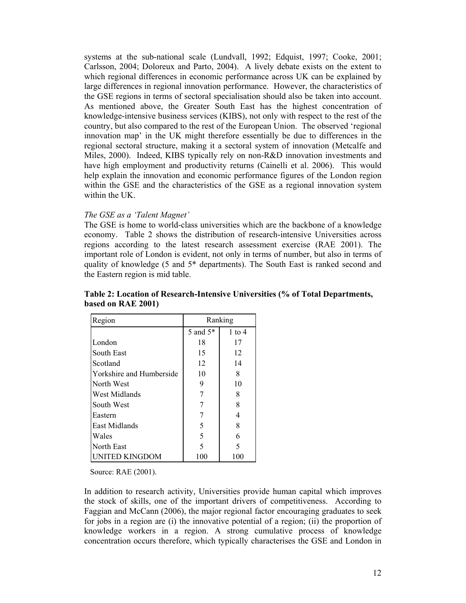systems at the sub-national scale (Lundvall, 1992; Edquist, 1997; Cooke, 2001; Carlsson, 2004; Doloreux and Parto, 2004). A lively debate exists on the extent to which regional differences in economic performance across UK can be explained by large differences in regional innovation performance. However, the characteristics of the GSE regions in terms of sectoral specialisation should also be taken into account. As mentioned above, the Greater South East has the highest concentration of knowledge-intensive business services (KIBS), not only with respect to the rest of the country, but also compared to the rest of the European Union. The observed 'regional innovation map' in the UK might therefore essentially be due to differences in the regional sectoral structure, making it a sectoral system of innovation (Metcalfe and Miles, 2000). Indeed, KIBS typically rely on non-R&D innovation investments and have high employment and productivity returns (Cainelli et al. 2006). This would help explain the innovation and economic performance figures of the London region within the GSE and the characteristics of the GSE as a regional innovation system within the UK.

## *The GSE as a 'Talent Magnet'*

The GSE is home to world-class universities which are the backbone of a knowledge economy. Table 2 shows the distribution of research-intensive Universities across regions according to the latest research assessment exercise (RAE 2001). The important role of London is evident, not only in terms of number, but also in terms of quality of knowledge (5 and 5\* departments). The South East is ranked second and the Eastern region is mid table.

| Region                   |                      | Ranking    |
|--------------------------|----------------------|------------|
|                          | 5 and 5 <sup>*</sup> | $1$ to $4$ |
| London                   | 18                   | 17         |
| South East               | 15                   | 12         |
| Scotland                 | 12                   | 14         |
| Yorkshire and Humberside | 10                   | 8          |
| North West               | 9                    | 10         |
| West Midlands            |                      | 8          |
| South West               |                      | 8          |
| Eastern                  |                      | 4          |
| East Midlands            | 5                    | 8          |
| Wales                    | 5                    | 6          |
| North East               | 5                    | 5          |
| NITED KINGDOM            | 100                  | 100        |

**Table 2: Location of Research-Intensive Universities (% of Total Departments, based on RAE 2001)** 

Source: RAE (2001).

In addition to research activity, Universities provide human capital which improves the stock of skills, one of the important drivers of competitiveness. According to Faggian and McCann (2006), the major regional factor encouraging graduates to seek for jobs in a region are (i) the innovative potential of a region; (ii) the proportion of knowledge workers in a region. A strong cumulative process of knowledge concentration occurs therefore, which typically characterises the GSE and London in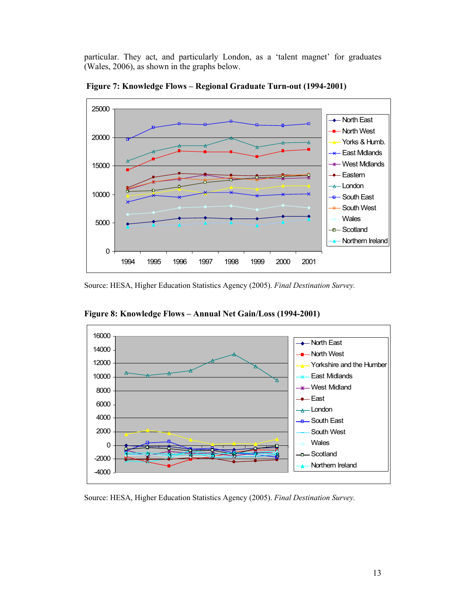particular. They act, and particularly London, as a 'talent magnet' for graduates (Wales, 2006), as shown in the graphs below.



 **Figure 7: Knowledge Flows – Regional Graduate Turn-out (1994-2001)** 

Source: HESA, Higher Education Statistics Agency (2005). *Final Destination Survey.* 



**Figure 8: Knowledge Flows – Annual Net Gain/Loss (1994-2001)** 

Source: HESA, Higher Education Statistics Agency (2005). *Final Destination Survey.*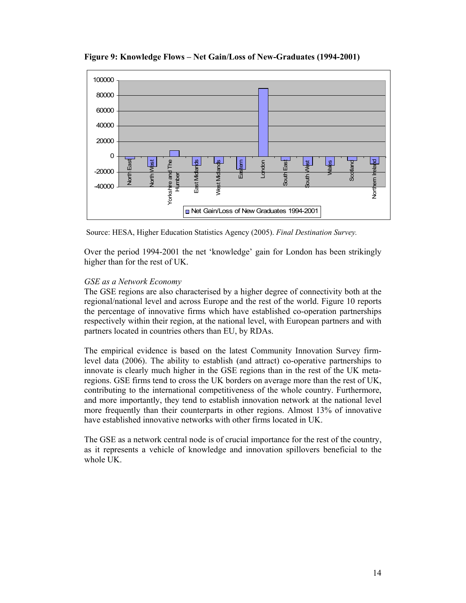

**Figure 9: Knowledge Flows – Net Gain/Loss of New-Graduates (1994-2001)** 

Source: HESA, Higher Education Statistics Agency (2005). *Final Destination Survey.* 

Over the period 1994-2001 the net 'knowledge' gain for London has been strikingly higher than for the rest of UK.

#### *GSE as a Network Economy*

The GSE regions are also characterised by a higher degree of connectivity both at the regional/national level and across Europe and the rest of the world. Figure 10 reports the percentage of innovative firms which have established co-operation partnerships respectively within their region, at the national level, with European partners and with partners located in countries others than EU, by RDAs.

The empirical evidence is based on the latest Community Innovation Survey firmlevel data (2006). The ability to establish (and attract) co-operative partnerships to innovate is clearly much higher in the GSE regions than in the rest of the UK metaregions. GSE firms tend to cross the UK borders on average more than the rest of UK, contributing to the international competitiveness of the whole country. Furthermore, and more importantly, they tend to establish innovation network at the national level more frequently than their counterparts in other regions. Almost 13% of innovative have established innovative networks with other firms located in UK.

The GSE as a network central node is of crucial importance for the rest of the country, as it represents a vehicle of knowledge and innovation spillovers beneficial to the whole UK.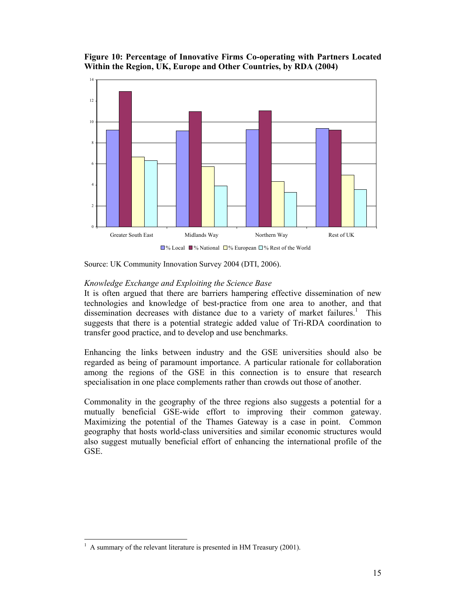

**Figure 10: Percentage of Innovative Firms Co-operating with Partners Located Within the Region, UK, Europe and Other Countries, by RDA (2004)** 

Source: UK Community Innovation Survey 2004 (DTI, 2006).

#### *Knowledge Exchange and Exploiting the Science Base*

It is often argued that there are barriers hampering effective dissemination of new technologies and knowledge of best-practice from one area to another, and that dissemination decreases with distance due to a variety of market failures.<sup>1</sup> This suggests that there is a potential strategic added value of Tri-RDA coordination to transfer good practice, and to develop and use benchmarks.

Enhancing the links between industry and the GSE universities should also be regarded as being of paramount importance. A particular rationale for collaboration among the regions of the GSE in this connection is to ensure that research specialisation in one place complements rather than crowds out those of another.

Commonality in the geography of the three regions also suggests a potential for a mutually beneficial GSE-wide effort to improving their common gateway. Maximizing the potential of the Thames Gateway is a case in point. Common geography that hosts world-class universities and similar economic structures would also suggest mutually beneficial effort of enhancing the international profile of the GSE.

 $\overline{a}$ 

<sup>1</sup> A summary of the relevant literature is presented in HM Treasury (2001).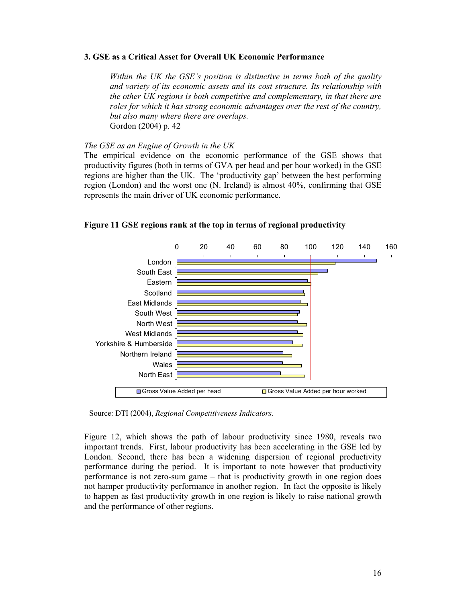## **3. GSE as a Critical Asset for Overall UK Economic Performance**

*Within the UK the GSE's position is distinctive in terms both of the quality and variety of its economic assets and its cost structure. Its relationship with the other UK regions is both competitive and complementary, in that there are roles for which it has strong economic advantages over the rest of the country, but also many where there are overlaps.*  Gordon (2004) p. 42

## *The GSE as an Engine of Growth in the UK*

The empirical evidence on the economic performance of the GSE shows that productivity figures (both in terms of GVA per head and per hour worked) in the GSE regions are higher than the UK. The 'productivity gap' between the best performing region (London) and the worst one (N. Ireland) is almost 40%, confirming that GSE represents the main driver of UK economic performance.



**Figure 11 GSE regions rank at the top in terms of regional productivity**

Source: DTI (2004), *Regional Competitiveness Indicators.*

Figure 12, which shows the path of labour productivity since 1980, reveals two important trends. First, labour productivity has been accelerating in the GSE led by London. Second, there has been a widening dispersion of regional productivity performance during the period. It is important to note however that productivity performance is not zero-sum game – that is productivity growth in one region does not hamper productivity performance in another region. In fact the opposite is likely to happen as fast productivity growth in one region is likely to raise national growth and the performance of other regions.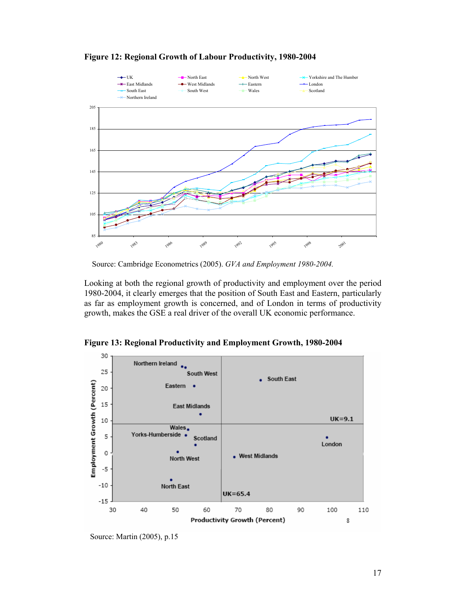

**Figure 12: Regional Growth of Labour Productivity, 1980-2004** 

Source: Cambridge Econometrics (2005). *GVA and Employment 1980-2004.*

Looking at both the regional growth of productivity and employment over the period 1980-2004, it clearly emerges that the position of South East and Eastern, particularly as far as employment growth is concerned, and of London in terms of productivity growth, makes the GSE a real driver of the overall UK economic performance.



**Figure 13: Regional Productivity and Employment Growth, 1980-2004**

Source: Martin (2005), p.15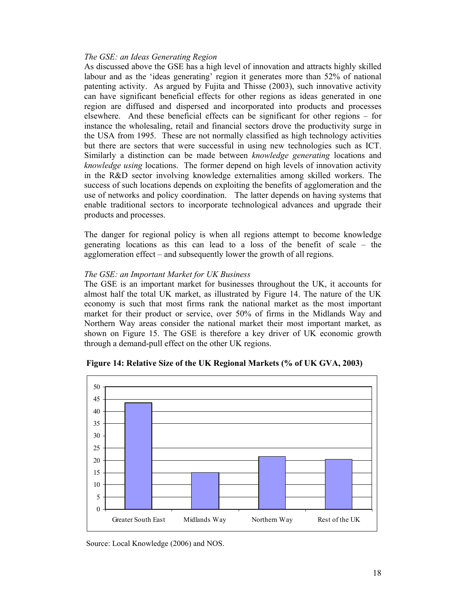## *The GSE: an Ideas Generating Region*

As discussed above the GSE has a high level of innovation and attracts highly skilled labour and as the 'ideas generating' region it generates more than 52% of national patenting activity. As argued by Fujita and Thisse (2003), such innovative activity can have significant beneficial effects for other regions as ideas generated in one region are diffused and dispersed and incorporated into products and processes elsewhere. And these beneficial effects can be significant for other regions – for instance the wholesaling, retail and financial sectors drove the productivity surge in the USA from 1995. These are not normally classified as high technology activities but there are sectors that were successful in using new technologies such as ICT. Similarly a distinction can be made between *knowledge generating* locations and *knowledge using* locations. The former depend on high levels of innovation activity in the R&D sector involving knowledge externalities among skilled workers. The success of such locations depends on exploiting the benefits of agglomeration and the use of networks and policy coordination. The latter depends on having systems that enable traditional sectors to incorporate technological advances and upgrade their products and processes.

The danger for regional policy is when all regions attempt to become knowledge generating locations as this can lead to a loss of the benefit of scale – the agglomeration effect – and subsequently lower the growth of all regions.

## *The GSE: an Important Market for UK Business*

The GSE is an important market for businesses throughout the UK, it accounts for almost half the total UK market, as illustrated by Figure 14. The nature of the UK economy is such that most firms rank the national market as the most important market for their product or service, over 50% of firms in the Midlands Way and Northern Way areas consider the national market their most important market, as shown on Figure 15. The GSE is therefore a key driver of UK economic growth through a demand-pull effect on the other UK regions.



 **Figure 14: Relative Size of the UK Regional Markets (% of UK GVA, 2003)** 

Source: Local Knowledge (2006) and NOS.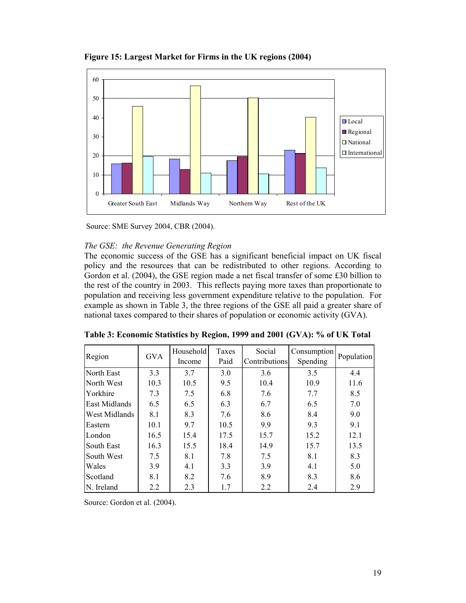



Source: SME Survey 2004, CBR (2004).

## *The GSE: the Revenue Generating Region*

The economic success of the GSE has a significant beneficial impact on UK fiscal policy and the resources that can be redistributed to other regions. According to Gordon et al. (2004), the GSE region made a net fiscal transfer of some £30 billion to the rest of the country in 2003. This reflects paying more taxes than proportionate to population and receiving less government expenditure relative to the population. For example as shown in Table 3, the three regions of the GSE all paid a greater share of national taxes compared to their shares of population or economic activity (GVA).

| Region               | <b>GVA</b> | Household<br>Income | Taxes<br>Paid | Social<br>Contributions | Consumption<br>Spending | Population |
|----------------------|------------|---------------------|---------------|-------------------------|-------------------------|------------|
| North East           | 3.3        | 3.7                 | 3.0           | 3.6                     | 3.5                     | 4.4        |
| North West           | 10.3       | 10.5                | 9.5           | 10.4                    | 10.9                    | 11.6       |
| Yorkhire             | 7.3        | 7.5                 | 6.8           | 7.6                     | 7.7                     | 8.5        |
| East Midlands        | 6.5        | 6.5                 | 6.3           | 6.7                     | 6.5                     | 7.0        |
| <b>West Midlands</b> | 8.1        | 8.3                 | 7.6           | 8.6                     | 8.4                     | 9.0        |
| Eastern              | 10.1       | 9.7                 | 10.5          | 9.9                     | 9.3                     | 9.1        |
| London               | 16.5       | 15.4                | 17.5          | 15.7                    | 15.2                    | 12.1       |
| South East           | 16.3       | 15.5                | 18.4          | 14.9                    | 15.7                    | 13.5       |
| South West           | 7.5        | 8.1                 | 7.8           | 7.5                     | 8.1                     | 8.3        |
| Wales                | 3.9        | 4.1                 | 3.3           | 3.9                     | 4.1                     | 5.0        |
| Scotland             | 8.1        | 8.2                 | 7.6           | 8.9                     | 8.3                     | 8.6        |
| N. Ireland           | 2.2        | 2.3                 | 1.7           | 2.2                     | 2.4                     | 2.9        |

**Table 3: Economic Statistics by Region, 1999 and 2001 (GVA): % of UK Total**

Source: Gordon et al. (2004).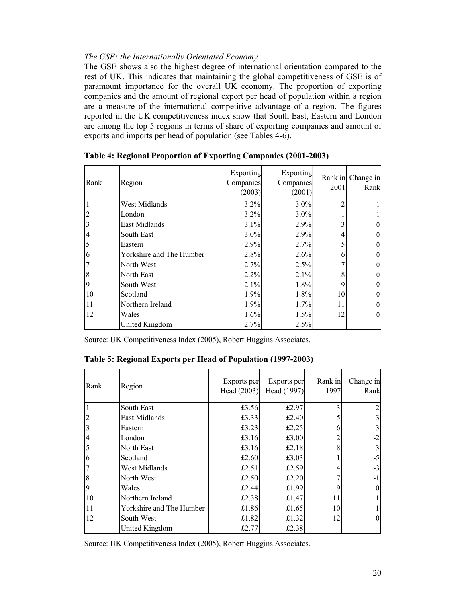## *The GSE: the Internationally Orientated Economy*

The GSE shows also the highest degree of international orientation compared to the rest of UK. This indicates that maintaining the global competitiveness of GSE is of paramount importance for the overall UK economy. The proportion of exporting companies and the amount of regional export per head of population within a region are a measure of the international competitive advantage of a region. The figures reported in the UK competitiveness index show that South East, Eastern and London are among the top 5 regions in terms of share of exporting companies and amount of exports and imports per head of population (see Tables 4-6).

| Rank | Region                   | Exporting<br>Companies<br>(2003) | Exporting<br>Companies<br>(2001) | 2001 | Rank in Change in<br>Rank |
|------|--------------------------|----------------------------------|----------------------------------|------|---------------------------|
|      | West Midlands            | 3.2%                             | 3.0%                             |      |                           |
|      | London                   | 3.2%                             | $3.0\%$                          |      | -1                        |
|      | East Midlands            | 3.1%                             | 2.9%                             |      | $\mathbf{0}$              |
| 4    | South East               | 3.0%                             | 2.9%                             |      | $\mathbf{0}$              |
|      | Eastern                  | 2.9%                             | 2.7%                             |      | $\mathbf{0}$              |
| 6    | Yorkshire and The Humber | 2.8%                             | 2.6%                             | 6    | $\mathbf{0}$              |
|      | North West               | 2.7%                             | 2.5%                             |      | $\boldsymbol{0}$          |
| 8    | North East               | 2.2%                             | 2.1%                             | 8    | $\mathbf{0}$              |
| 9    | South West               | 2.1%                             | 1.8%                             | 9    | $\mathbf{0}$              |
| 10   | Scotland                 | 1.9%                             | 1.8%                             | 10   | $\mathbf{0}$              |
| 11   | Northern Ireland         | 1.9%                             | 1.7%                             | 11   | $\mathbf{0}$              |
| 12   | Wales                    | 1.6%                             | 1.5%                             | 12   | $\mathbf{0}$              |
|      | United Kingdom           | 2.7%                             | 2.5%                             |      |                           |

**Table 4: Regional Proportion of Exporting Companies (2001-2003)** 

Source: UK Competitiveness Index (2005), Robert Huggins Associates.

**Table 5: Regional Exports per Head of Population (1997-2003)** 

| Rank | Region                   | Exports per<br>Head (2003) | Exports per<br>Head (1997) | Rank in<br>1997 | Change in<br>Rank |
|------|--------------------------|----------------------------|----------------------------|-----------------|-------------------|
|      | South East               | £3.56                      | £2.97                      |                 |                   |
| 2    | East Midlands            | £3.33                      | £2.40                      |                 |                   |
| 3    | Eastern                  | £3.23                      | £2.25                      | h               |                   |
| 4    | London                   | £3.16                      | £3.00                      |                 | $-2$              |
| 5    | North East               | £3.16                      | £2.18                      |                 |                   |
| 6    | Scotland                 | £2.60                      | £3.03                      |                 | $-5$              |
|      | West Midlands            | £2.51                      | £2.59                      |                 | $-3$              |
| 8    | North West               | £2.50                      | £2.20                      |                 | -1                |
| 9    | Wales                    | £2.44                      | £1.99                      |                 | 0                 |
| 10   | Northern Ireland         | £2.38                      | £1.47                      | 11              |                   |
| 11   | Yorkshire and The Humber | £1.86                      | £1.65                      | 10              | -1                |
| 12   | South West               | £1.82                      | £1.32                      | 12              | $\theta$          |
|      | United Kingdom           | £2.77                      | £2.38                      |                 |                   |

Source: UK Competitiveness Index (2005), Robert Huggins Associates.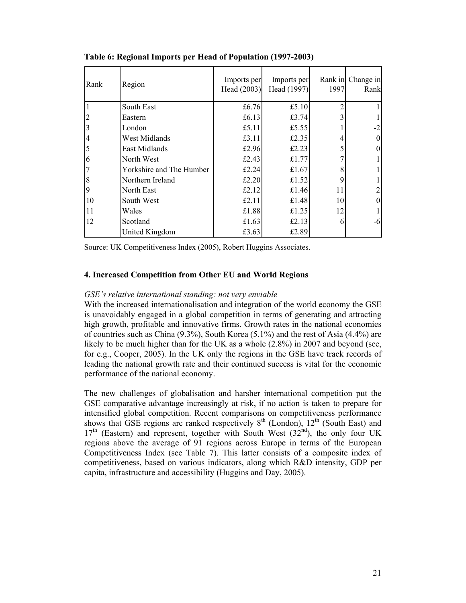| Rank | Region                   | Imports per<br>Head (2003) | Imports per<br>Head (1997) | 1997           | Rank in Change in<br>Rank |
|------|--------------------------|----------------------------|----------------------------|----------------|---------------------------|
|      | South East               | £6.76                      | £5.10                      | $\overline{2}$ |                           |
| 2    | Eastern                  | £6.13                      | £3.74                      | 3              |                           |
| 3    | London                   | £5.11                      | £5.55                      |                | $-2$                      |
| 4    | West Midlands            | £3.11                      | £2.35                      |                |                           |
| 5    | East Midlands            | £2.96                      | £2.23                      |                |                           |
| 6    | North West               | £2.43                      | £1.77                      |                |                           |
|      | Yorkshire and The Humber | £2.24                      | £1.67                      | 8              |                           |
| 8    | Northern Ireland         | £2.20                      | £1.52                      | 9              |                           |
| 9    | North East               | £2.12                      | £1.46                      | 11             |                           |
| 10   | South West               | £2.11                      | £1.48                      | 10             |                           |
| 11   | Wales                    | £1.88                      | £1.25                      | 12             |                           |
| 12   | Scotland                 | £1.63                      | £2.13                      | 6              | $-6$                      |
|      | United Kingdom           | £3.63                      | £2.89                      |                |                           |

**Table 6: Regional Imports per Head of Population (1997-2003)** 

Source: UK Competitiveness Index (2005), Robert Huggins Associates.

## **4. Increased Competition from Other EU and World Regions**

## *GSE's relative international standing: not very enviable*

With the increased internationalisation and integration of the world economy the GSE is unavoidably engaged in a global competition in terms of generating and attracting high growth, profitable and innovative firms. Growth rates in the national economies of countries such as China (9.3%), South Korea (5.1%) and the rest of Asia (4.4%) are likely to be much higher than for the UK as a whole (2.8%) in 2007 and beyond (see, for e.g., Cooper, 2005). In the UK only the regions in the GSE have track records of leading the national growth rate and their continued success is vital for the economic performance of the national economy.

The new challenges of globalisation and harsher international competition put the GSE comparative advantage increasingly at risk, if no action is taken to prepare for intensified global competition. Recent comparisons on competitiveness performance shows that GSE regions are ranked respectively  $8<sup>th</sup>$  (London),  $12<sup>th</sup>$  (South East) and  $17<sup>th</sup>$  (Eastern) and represent, together with South West (32<sup>nd</sup>), the only four UK regions above the average of 91 regions across Europe in terms of the European Competitiveness Index (see Table 7). This latter consists of a composite index of competitiveness, based on various indicators, along which R&D intensity, GDP per capita, infrastructure and accessibility (Huggins and Day, 2005).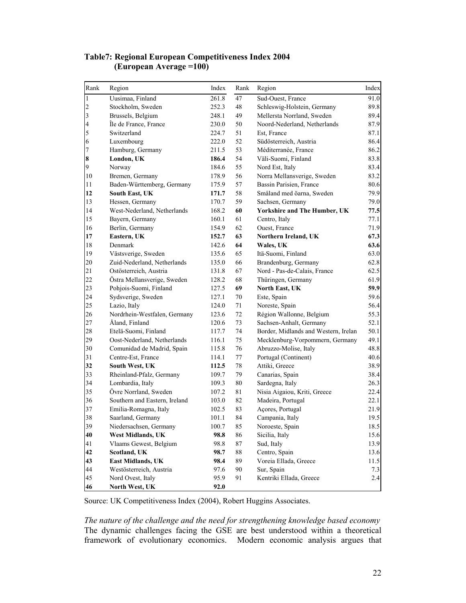| Rank           | Region                        | Index | Rank | Region                               | Index |
|----------------|-------------------------------|-------|------|--------------------------------------|-------|
| $\,1$          | Uusimaa, Finland              | 261.8 | 47   | Sud-Ouest, France                    | 91.0  |
| $\overline{c}$ | Stockholm, Sweden             | 252.3 | 48   | Schleswig-Holstein, Germany          | 89.8  |
| 3              | Brussels, Belgium             | 248.1 | 49   | Mellersta Norrland, Sweden           | 89.4  |
| $\overline{a}$ | Île de France, France         | 230.0 | 50   | Noord-Nederland, Netherlands         | 87.9  |
| 5              | Switzerland                   | 224.7 | 51   | Est, France                          | 87.1  |
| 6              | Luxembourg                    | 222.0 | 52   | Südösterreich, Austria               | 86.4  |
| $\sqrt{ }$     | Hamburg, Germany              | 211.5 | 53   | Méditerranée, France                 | 86.2  |
| 8              | London, UK                    | 186.4 | 54   | Väli-Suomi, Finland                  | 83.8  |
| 9              | Norway                        | 184.6 | 55   | Nord Est, Italy                      | 83.4  |
| 10             | Bremen, Germany               | 178.9 | 56   | Norra Mellansverige, Sweden          | 83.2  |
| $1\,1$         | Baden-Württemberg, Germany    | 175.9 | 57   | Bassin Parisien, France              | 80.6  |
| 12             | South East, UK                | 171.7 | 58   | Småland med öarna, Sweden            | 79.9  |
| 13             | Hessen, Germany               | 170.7 | 59   | Sachsen, Germany                     | 79.0  |
| 14             | West-Nederland, Netherlands   | 168.2 | 60   | <b>Yorkshire and The Humber, UK</b>  | 77.5  |
| 15             | Bayern, Germany               | 160.1 | 61   | Centro, Italy                        | 77.1  |
| 16             | Berlin, Germany               | 154.9 | 62   | Ouest, France                        | 71.9  |
| 17             | Eastern, UK                   | 152.7 | 63   | Northern Ireland, UK                 | 67.3  |
| $18\,$         | Denmark                       | 142.6 | 64   | Wales, UK                            | 63.6  |
| 19             | Västsverige, Sweden           | 135.6 | 65   | Itä-Suomi, Finland                   | 63.0  |
| 20             | Zuid-Nederland, Netherlands   | 135.0 | 66   | Brandenburg, Germany                 | 62.8  |
| 21             | Ostösterreich, Austria        | 131.8 | 67   | Nord - Pas-de-Calais, France         | 62.5  |
| 22             | Östra Mellansverige, Sweden   | 128.2 | 68   | Thüringen, Germany                   | 61.9  |
| 23             | Pohjois-Suomi, Finland        | 127.5 | 69   | North East, UK                       | 59.9  |
| 24             | Sydsverige, Sweden            | 127.1 | 70   | Este, Spain                          | 59.6  |
| 25             | Lazio, Italy                  | 124.0 | 71   | Noreste, Spain                       | 56.4  |
| 26             | Nordrhein-Westfalen, Germany  | 123.6 | 72   | Région Wallonne, Belgium             | 55.3  |
| 27             | Åland, Finland                | 120.6 | 73   | Sachsen-Anhalt, Germany              | 52.1  |
| 28             | Etelä-Suomi, Finland          | 117.7 | 74   | Border, Midlands and Western, Irelan | 50.1  |
| 29             | Oost-Nederland, Netherlands   | 116.1 | 75   | Mecklenburg-Vorpommern, Germany      | 49.1  |
| 30             | Comunidad de Madrid, Spain    | 115.8 | 76   | Abruzzo-Molise, Italy                | 48.8  |
| 31             | Centre-Est, France            | 114.1 | 77   | Portugal (Continent)                 | 40.6  |
| 32             | South West, UK                | 112.5 | 78   | Attiki, Greece                       | 38.9  |
| 33             | Rheinland-Pfalz, Germany      | 109.7 | 79   | Canarias, Spain                      | 38.4  |
| 34             | Lombardia, Italy              | 109.3 | 80   | Sardegna, Italy                      | 26.3  |
| 35             | Övre Norrland, Sweden         | 107.2 | 81   | Nisia Aigaiou, Kriti, Greece         | 22.4  |
| 36             | Southern and Eastern, Ireland | 103.0 | 82   | Madeira, Portugal                    | 22.1  |
| 37             | Emilia-Romagna, Italy         | 102.5 | 83   | Açores, Portugal                     | 21.9  |
| 38             | Saarland, Germany             | 101.1 | 84   | Campania, Italy                      | 19.5  |
| 39             | Niedersachsen, Germany        | 100.7 | 85   | Noroeste, Spain                      | 18.5  |
| 40             | <b>West Midlands, UK</b>      | 98.8  | 86   | Sicilia, Italy                       | 15.6  |
| 41             | Vlaams Gewest, Belgium        | 98.8  | 87   | Sud, Italy                           | 13.9  |
| 42             | Scotland, UK                  | 98.7  | 88   | Centro, Spain                        | 13.6  |
| 43             | <b>East Midlands, UK</b>      | 98.4  | 89   | Voreia Ellada, Greece                | 11.5  |
| 44             | Westösterreich, Austria       | 97.6  | 90   | Sur, Spain                           | $7.3$ |
| 45             | Nord Ovest, Italy             | 95.9  | 91   | Kentriki Ellada, Greece              | 2.4   |
| 46             | North West, UK                | 92.0  |      |                                      |       |

## **Table7: Regional European Competitiveness Index 2004 (European Average =100)**

Source: UK Competitiveness Index (2004), Robert Huggins Associates.

*The nature of the challenge and the need for strengthening knowledge based economy*  The dynamic challenges facing the GSE are best understood within a theoretical framework of evolutionary economics. Modern economic analysis argues that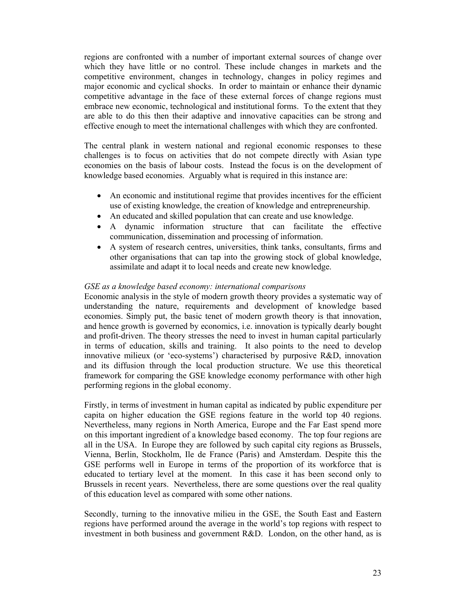regions are confronted with a number of important external sources of change over which they have little or no control. These include changes in markets and the competitive environment, changes in technology, changes in policy regimes and major economic and cyclical shocks. In order to maintain or enhance their dynamic competitive advantage in the face of these external forces of change regions must embrace new economic, technological and institutional forms. To the extent that they are able to do this then their adaptive and innovative capacities can be strong and effective enough to meet the international challenges with which they are confronted.

The central plank in western national and regional economic responses to these challenges is to focus on activities that do not compete directly with Asian type economies on the basis of labour costs. Instead the focus is on the development of knowledge based economies. Arguably what is required in this instance are:

- An economic and institutional regime that provides incentives for the efficient use of existing knowledge, the creation of knowledge and entrepreneurship.
- An educated and skilled population that can create and use knowledge.
- A dynamic information structure that can facilitate the effective communication, dissemination and processing of information.
- A system of research centres, universities, think tanks, consultants, firms and other organisations that can tap into the growing stock of global knowledge, assimilate and adapt it to local needs and create new knowledge.

## *GSE as a knowledge based economy: international comparisons*

Economic analysis in the style of modern growth theory provides a systematic way of understanding the nature, requirements and development of knowledge based economies. Simply put, the basic tenet of modern growth theory is that innovation, and hence growth is governed by economics, i.e. innovation is typically dearly bought and profit-driven. The theory stresses the need to invest in human capital particularly in terms of education, skills and training. It also points to the need to develop innovative milieux (or 'eco-systems') characterised by purposive R&D, innovation and its diffusion through the local production structure. We use this theoretical framework for comparing the GSE knowledge economy performance with other high performing regions in the global economy.

Firstly, in terms of investment in human capital as indicated by public expenditure per capita on higher education the GSE regions feature in the world top 40 regions. Nevertheless, many regions in North America, Europe and the Far East spend more on this important ingredient of a knowledge based economy. The top four regions are all in the USA. In Europe they are followed by such capital city regions as Brussels, Vienna, Berlin, Stockholm, Ile de France (Paris) and Amsterdam. Despite this the GSE performs well in Europe in terms of the proportion of its workforce that is educated to tertiary level at the moment. In this case it has been second only to Brussels in recent years. Nevertheless, there are some questions over the real quality of this education level as compared with some other nations.

Secondly, turning to the innovative milieu in the GSE, the South East and Eastern regions have performed around the average in the world's top regions with respect to investment in both business and government R&D. London, on the other hand, as is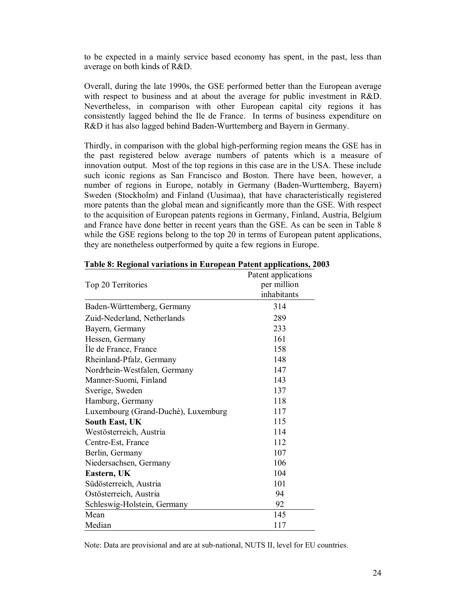to be expected in a mainly service based economy has spent, in the past, less than average on both kinds of R&D.

Overall, during the late 1990s, the GSE performed better than the European average with respect to business and at about the average for public investment in R&D. Nevertheless, in comparison with other European capital city regions it has consistently lagged behind the Ile de France. In terms of business expenditure on R&D it has also lagged behind Baden-Wurttemberg and Bayern in Germany.

Thirdly, in comparison with the global high-performing region means the GSE has in the past registered below average numbers of patents which is a measure of innovation output. Most of the top regions in this case are in the USA. These include such iconic regions as San Francisco and Boston. There have been, however, a number of regions in Europe, notably in Germany (Baden-Wurttemberg, Bayern) Sweden (Stockholm) and Finland (Uusimaa), that have characteristically registered more patents than the global mean and significantly more than the GSE. With respect to the acquisition of European patents regions in Germany, Finland, Austria, Belgium and France have done better in recent years than the GSE. As can be seen in Table 8 while the GSE regions belong to the top 20 in terms of European patent applications, they are nonetheless outperformed by quite a few regions in Europe.

|                                     | Patent applications |
|-------------------------------------|---------------------|
| Top 20 Territories                  | per million         |
|                                     | inhabitants         |
| Baden-Württemberg, Germany          | 314                 |
| Zuid-Nederland, Netherlands         | 289                 |
| Bayern, Germany                     | 233                 |
| Hessen, Germany                     | 161                 |
| Ile de France, France               | 158                 |
| Rheinland-Pfalz, Germany            | 148                 |
| Nordrhein-Westfalen, Germany        | 147                 |
| Manner-Suomi, Finland               | 143                 |
| Sverige, Sweden                     | 137                 |
| Hamburg, Germany                    | 118                 |
| Luxembourg (Grand-Duché), Luxemburg | 117                 |
| <b>South East, UK</b>               | 115                 |
| Westösterreich, Austria             | 114                 |
| Centre-Est, France                  | 112                 |
| Berlin, Germany                     | 107                 |
| Niedersachsen, Germany              | 106                 |
| Eastern, UK                         | 104                 |
| Südösterreich, Austria              | 101                 |
| Ostösterreich, Austria              | 94                  |
| Schleswig-Holstein, Germany         | 92                  |
| Mean                                | 145                 |
| Median                              | 117                 |

#### **Table 8: Regional variations in European Patent applications, 2003**

Note: Data are provisional and are at sub-national, NUTS II, level for EU countries.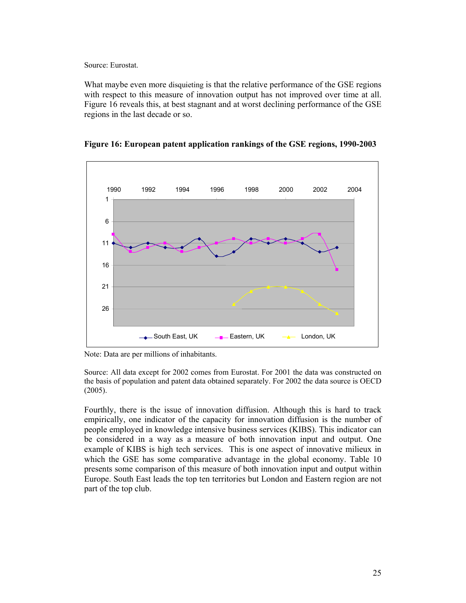Source: Eurostat.

What maybe even more disquieting is that the relative performance of the GSE regions with respect to this measure of innovation output has not improved over time at all. Figure 16 reveals this, at best stagnant and at worst declining performance of the GSE regions in the last decade or so.



**Figure 16: European patent application rankings of the GSE regions, 1990-2003** 

Note: Data are per millions of inhabitants.

Source: All data except for 2002 comes from Eurostat. For 2001 the data was constructed on the basis of population and patent data obtained separately. For 2002 the data source is OECD (2005).

Fourthly, there is the issue of innovation diffusion. Although this is hard to track empirically, one indicator of the capacity for innovation diffusion is the number of people employed in knowledge intensive business services (KIBS). This indicator can be considered in a way as a measure of both innovation input and output. One example of KIBS is high tech services. This is one aspect of innovative milieux in which the GSE has some comparative advantage in the global economy. Table 10 presents some comparison of this measure of both innovation input and output within Europe. South East leads the top ten territories but London and Eastern region are not part of the top club.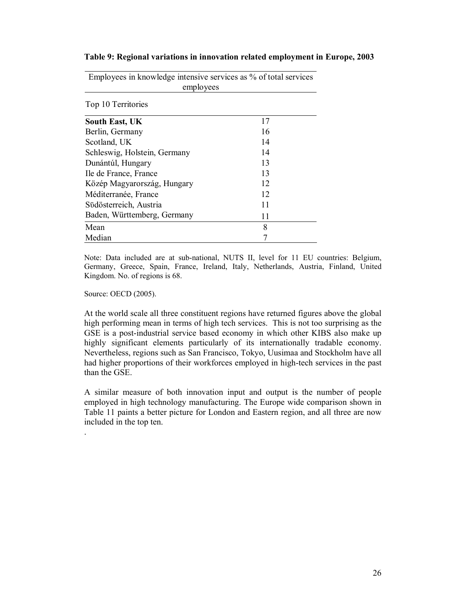| Employees in knowledge intensive services as % of total services<br>employees |    |  |  |
|-------------------------------------------------------------------------------|----|--|--|
| Top 10 Territories                                                            |    |  |  |
| <b>South East, UK</b>                                                         | 17 |  |  |
| Berlin, Germany                                                               | 16 |  |  |
| Scotland, UK                                                                  | 14 |  |  |
| Schleswig, Holstein, Germany                                                  | 14 |  |  |
| Dunántúl, Hungary                                                             | 13 |  |  |
| Ile de France, France                                                         | 13 |  |  |
| Közép Magyarország, Hungary                                                   | 12 |  |  |
| Méditerranée, France                                                          | 12 |  |  |
| Südösterreich, Austria                                                        | 11 |  |  |
| Baden, Württemberg, Germany                                                   | 11 |  |  |
| Mean                                                                          | 8  |  |  |
| Median                                                                        |    |  |  |

**Table 9: Regional variations in innovation related employment in Europe, 2003**

Note: Data included are at sub-national, NUTS II, level for 11 EU countries: Belgium, Germany, Greece, Spain, France, Ireland, Italy, Netherlands, Austria, Finland, United Kingdom. No. of regions is 68.

Source: OECD (2005).

.

At the world scale all three constituent regions have returned figures above the global high performing mean in terms of high tech services. This is not too surprising as the GSE is a post-industrial service based economy in which other KIBS also make up highly significant elements particularly of its internationally tradable economy. Nevertheless, regions such as San Francisco, Tokyo, Uusimaa and Stockholm have all had higher proportions of their workforces employed in high-tech services in the past than the GSE.

A similar measure of both innovation input and output is the number of people employed in high technology manufacturing. The Europe wide comparison shown in Table 11 paints a better picture for London and Eastern region, and all three are now included in the top ten.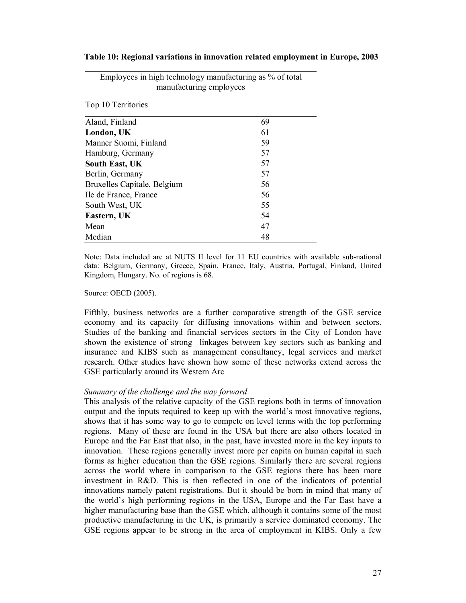|                             | ೦<br>$-$ --- $_{r}$ - $\sim$ $_{J}$ |
|-----------------------------|-------------------------------------|
| Top 10 Territories          |                                     |
| Aland, Finland              | 69                                  |
| London, UK                  | 61                                  |
| Manner Suomi, Finland       | 59                                  |
| Hamburg, Germany            | 57                                  |
| <b>South East, UK</b>       | 57                                  |
| Berlin, Germany             | 57                                  |
| Bruxelles Capitale, Belgium | 56                                  |
| Ile de France, France       | 56                                  |
| South West, UK              | 55                                  |
| Eastern, UK                 | 54                                  |
| Mean                        | 47                                  |
| Median                      | 48                                  |

Employees in high technology manufacturing as % of total manufacturing employees

**Table 10: Regional variations in innovation related employment in Europe, 2003**

Note: Data included are at NUTS II level for 11 EU countries with available sub-national data: Belgium, Germany, Greece, Spain, France, Italy, Austria, Portugal, Finland, United Kingdom, Hungary. No. of regions is 68.

#### Source: OECD (2005).

Fifthly, business networks are a further comparative strength of the GSE service economy and its capacity for diffusing innovations within and between sectors. Studies of the banking and financial services sectors in the City of London have shown the existence of strong linkages between key sectors such as banking and insurance and KIBS such as management consultancy, legal services and market research. Other studies have shown how some of these networks extend across the GSE particularly around its Western Arc

#### *Summary of the challenge and the way forward*

This analysis of the relative capacity of the GSE regions both in terms of innovation output and the inputs required to keep up with the world's most innovative regions, shows that it has some way to go to compete on level terms with the top performing regions. Many of these are found in the USA but there are also others located in Europe and the Far East that also, in the past, have invested more in the key inputs to innovation. These regions generally invest more per capita on human capital in such forms as higher education than the GSE regions. Similarly there are several regions across the world where in comparison to the GSE regions there has been more investment in R&D. This is then reflected in one of the indicators of potential innovations namely patent registrations. But it should be born in mind that many of the world's high performing regions in the USA, Europe and the Far East have a higher manufacturing base than the GSE which, although it contains some of the most productive manufacturing in the UK, is primarily a service dominated economy. The GSE regions appear to be strong in the area of employment in KIBS. Only a few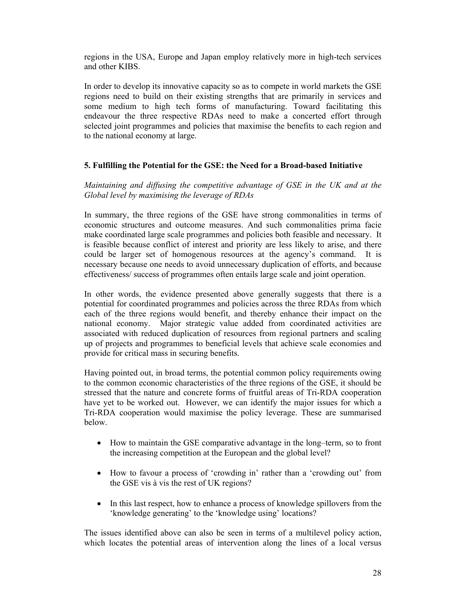regions in the USA, Europe and Japan employ relatively more in high-tech services and other KIBS.

In order to develop its innovative capacity so as to compete in world markets the GSE regions need to build on their existing strengths that are primarily in services and some medium to high tech forms of manufacturing. Toward facilitating this endeavour the three respective RDAs need to make a concerted effort through selected joint programmes and policies that maximise the benefits to each region and to the national economy at large.

## **5. Fulfilling the Potential for the GSE: the Need for a Broad-based Initiative**

*Maintaining and diffusing the competitive advantage of GSE in the UK and at the Global level by maximising the leverage of RDAs* 

In summary, the three regions of the GSE have strong commonalities in terms of economic structures and outcome measures. And such commonalities prima facie make coordinated large scale programmes and policies both feasible and necessary. It is feasible because conflict of interest and priority are less likely to arise, and there could be larger set of homogenous resources at the agency's command. It is necessary because one needs to avoid unnecessary duplication of efforts, and because effectiveness/ success of programmes often entails large scale and joint operation.

In other words, the evidence presented above generally suggests that there is a potential for coordinated programmes and policies across the three RDAs from which each of the three regions would benefit, and thereby enhance their impact on the national economy. Major strategic value added from coordinated activities are associated with reduced duplication of resources from regional partners and scaling up of projects and programmes to beneficial levels that achieve scale economies and provide for critical mass in securing benefits.

Having pointed out, in broad terms, the potential common policy requirements owing to the common economic characteristics of the three regions of the GSE, it should be stressed that the nature and concrete forms of fruitful areas of Tri-RDA cooperation have yet to be worked out. However, we can identify the major issues for which a Tri-RDA cooperation would maximise the policy leverage. These are summarised below.

- How to maintain the GSE comparative advantage in the long–term, so to front the increasing competition at the European and the global level?
- How to favour a process of 'crowding in' rather than a 'crowding out' from the GSE vis à vis the rest of UK regions?
- In this last respect, how to enhance a process of knowledge spillovers from the 'knowledge generating' to the 'knowledge using' locations?

The issues identified above can also be seen in terms of a multilevel policy action, which locates the potential areas of intervention along the lines of a local versus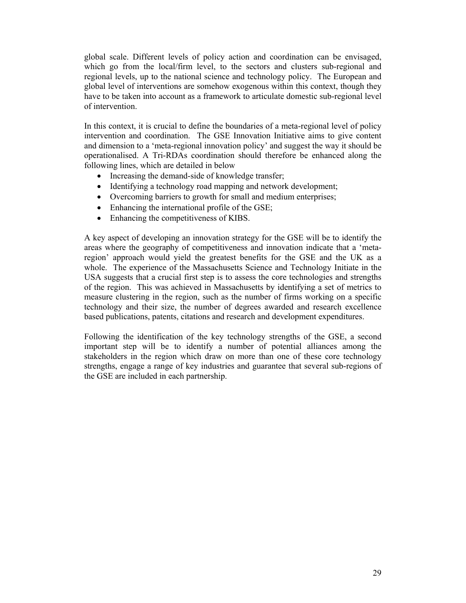global scale. Different levels of policy action and coordination can be envisaged, which go from the local/firm level, to the sectors and clusters sub-regional and regional levels, up to the national science and technology policy. The European and global level of interventions are somehow exogenous within this context, though they have to be taken into account as a framework to articulate domestic sub-regional level of intervention.

In this context, it is crucial to define the boundaries of a meta-regional level of policy intervention and coordination. The GSE Innovation Initiative aims to give content and dimension to a 'meta-regional innovation policy' and suggest the way it should be operationalised. A Tri-RDAs coordination should therefore be enhanced along the following lines, which are detailed in below

- Increasing the demand-side of knowledge transfer;
- Identifying a technology road mapping and network development;
- Overcoming barriers to growth for small and medium enterprises;
- Enhancing the international profile of the GSE;
- Enhancing the competitiveness of KIBS.

A key aspect of developing an innovation strategy for the GSE will be to identify the areas where the geography of competitiveness and innovation indicate that a 'metaregion' approach would yield the greatest benefits for the GSE and the UK as a whole. The experience of the Massachusetts Science and Technology Initiate in the USA suggests that a crucial first step is to assess the core technologies and strengths of the region. This was achieved in Massachusetts by identifying a set of metrics to measure clustering in the region, such as the number of firms working on a specific technology and their size, the number of degrees awarded and research excellence based publications, patents, citations and research and development expenditures.

Following the identification of the key technology strengths of the GSE, a second important step will be to identify a number of potential alliances among the stakeholders in the region which draw on more than one of these core technology strengths, engage a range of key industries and guarantee that several sub-regions of the GSE are included in each partnership.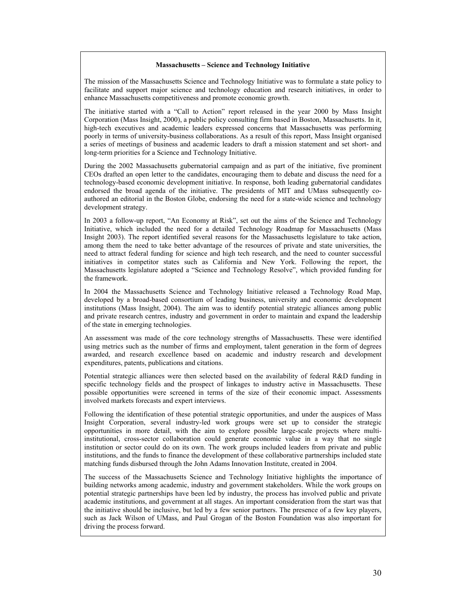#### **Massachusetts – Science and Technology Initiative**

The mission of the Massachusetts Science and Technology Initiative was to formulate a state policy to facilitate and support major science and technology education and research initiatives, in order to enhance Massachusetts competitiveness and promote economic growth.

The initiative started with a "Call to Action" report released in the year 2000 by Mass Insight Corporation (Mass Insight, 2000), a public policy consulting firm based in Boston, Massachusetts. In it, high-tech executives and academic leaders expressed concerns that Massachusetts was performing poorly in terms of university-business collaborations. As a result of this report, Mass Insight organised a series of meetings of business and academic leaders to draft a mission statement and set short- and long-term priorities for a Science and Technology Initiative.

During the 2002 Massachusetts gubernatorial campaign and as part of the initiative, five prominent CEOs drafted an open letter to the candidates, encouraging them to debate and discuss the need for a technology-based economic development initiative. In response, both leading gubernatorial candidates endorsed the broad agenda of the initiative. The presidents of MIT and UMass subsequently coauthored an editorial in the Boston Globe, endorsing the need for a state-wide science and technology development strategy.

In 2003 a follow-up report, "An Economy at Risk", set out the aims of the Science and Technology Initiative, which included the need for a detailed Technology Roadmap for Massachusetts (Mass Insight 2003). The report identified several reasons for the Massachusetts legislature to take action, among them the need to take better advantage of the resources of private and state universities, the need to attract federal funding for science and high tech research, and the need to counter successful initiatives in competitor states such as California and New York. Following the report, the Massachusetts legislature adopted a "Science and Technology Resolve", which provided funding for the framework.

In 2004 the Massachusetts Science and Technology Initiative released a Technology Road Map, developed by a broad-based consortium of leading business, university and economic development institutions (Mass Insight, 2004). The aim was to identify potential strategic alliances among public and private research centres, industry and government in order to maintain and expand the leadership of the state in emerging technologies.

An assessment was made of the core technology strengths of Massachusetts. These were identified using metrics such as the number of firms and employment, talent generation in the form of degrees awarded, and research excellence based on academic and industry research and development expenditures, patents, publications and citations.

Potential strategic alliances were then selected based on the availability of federal R&D funding in specific technology fields and the prospect of linkages to industry active in Massachusetts. These possible opportunities were screened in terms of the size of their economic impact. Assessments involved markets forecasts and expert interviews.

Following the identification of these potential strategic opportunities, and under the auspices of Mass Insight Corporation, several industry-led work groups were set up to consider the strategic opportunities in more detail, with the aim to explore possible large-scale projects where multiinstitutional, cross-sector collaboration could generate economic value in a way that no single institution or sector could do on its own. The work groups included leaders from private and public institutions, and the funds to finance the development of these collaborative partnerships included state matching funds disbursed through the John Adams Innovation Institute, created in 2004.

The success of the Massachusetts Science and Technology Initiative highlights the importance of building networks among academic, industry and government stakeholders. While the work groups on potential strategic partnerships have been led by industry, the process has involved public and private academic institutions, and government at all stages. An important consideration from the start was that the initiative should be inclusive, but led by a few senior partners. The presence of a few key players, such as Jack Wilson of UMass, and Paul Grogan of the Boston Foundation was also important for driving the process forward.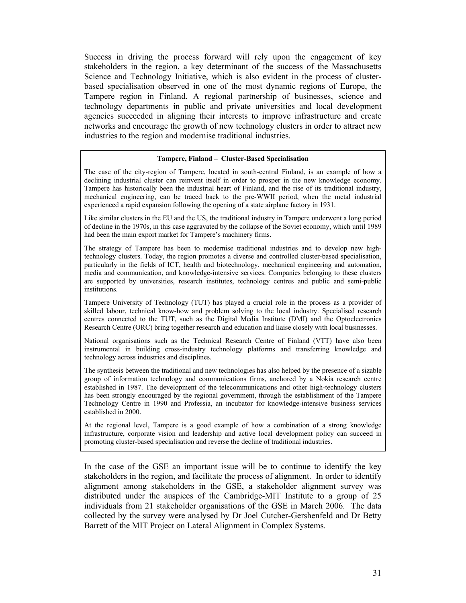Success in driving the process forward will rely upon the engagement of key stakeholders in the region, a key determinant of the success of the Massachusetts Science and Technology Initiative, which is also evident in the process of clusterbased specialisation observed in one of the most dynamic regions of Europe, the Tampere region in Finland. A regional partnership of businesses, science and technology departments in public and private universities and local development agencies succeeded in aligning their interests to improve infrastructure and create networks and encourage the growth of new technology clusters in order to attract new industries to the region and modernise traditional industries.

#### **Tampere, Finland – Cluster-Based Specialisation**

The case of the city-region of Tampere, located in south-central Finland, is an example of how a declining industrial cluster can reinvent itself in order to prosper in the new knowledge economy. Tampere has historically been the industrial heart of Finland, and the rise of its traditional industry, mechanical engineering, can be traced back to the pre-WWII period, when the metal industrial experienced a rapid expansion following the opening of a state airplane factory in 1931.

Like similar clusters in the EU and the US, the traditional industry in Tampere underwent a long period of decline in the 1970s, in this case aggravated by the collapse of the Soviet economy, which until 1989 had been the main export market for Tampere's machinery firms.

The strategy of Tampere has been to modernise traditional industries and to develop new hightechnology clusters. Today, the region promotes a diverse and controlled cluster-based specialisation, particularly in the fields of ICT, health and biotechnology, mechanical engineering and automation, media and communication, and knowledge-intensive services. Companies belonging to these clusters are supported by universities, research institutes, technology centres and public and semi-public institutions.

Tampere University of Technology (TUT) has played a crucial role in the process as a provider of skilled labour, technical know-how and problem solving to the local industry. Specialised research centres connected to the TUT, such as the Digital Media Institute (DMI) and the Optoelectronics Research Centre (ORC) bring together research and education and liaise closely with local businesses.

National organisations such as the Technical Research Centre of Finland (VTT) have also been instrumental in building cross-industry technology platforms and transferring knowledge and technology across industries and disciplines.

The synthesis between the traditional and new technologies has also helped by the presence of a sizable group of information technology and communications firms, anchored by a Nokia research centre established in 1987. The development of the telecommunications and other high-technology clusters has been strongly encouraged by the regional government, through the establishment of the Tampere Technology Centre in 1990 and Professia, an incubator for knowledge-intensive business services established in 2000.

At the regional level, Tampere is a good example of how a combination of a strong knowledge infrastructure, corporate vision and leadership and active local development policy can succeed in promoting cluster-based specialisation and reverse the decline of traditional industries.

In the case of the GSE an important issue will be to continue to identify the key stakeholders in the region, and facilitate the process of alignment. In order to identify alignment among stakeholders in the GSE, a stakeholder alignment survey was distributed under the auspices of the Cambridge-MIT Institute to a group of 25 individuals from 21 stakeholder organisations of the GSE in March 2006. The data collected by the survey were analysed by Dr Joel Cutcher-Gershenfeld and Dr Betty Barrett of the MIT Project on Lateral Alignment in Complex Systems.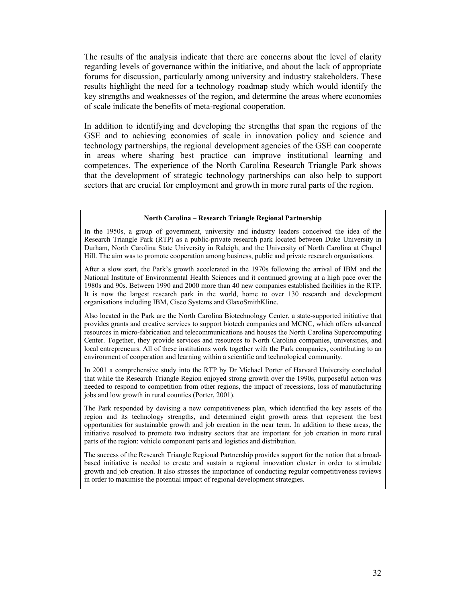The results of the analysis indicate that there are concerns about the level of clarity regarding levels of governance within the initiative, and about the lack of appropriate forums for discussion, particularly among university and industry stakeholders. These results highlight the need for a technology roadmap study which would identify the key strengths and weaknesses of the region, and determine the areas where economies of scale indicate the benefits of meta-regional cooperation.

In addition to identifying and developing the strengths that span the regions of the GSE and to achieving economies of scale in innovation policy and science and technology partnerships, the regional development agencies of the GSE can cooperate in areas where sharing best practice can improve institutional learning and competences. The experience of the North Carolina Research Triangle Park shows that the development of strategic technology partnerships can also help to support sectors that are crucial for employment and growth in more rural parts of the region.

#### **North Carolina – Research Triangle Regional Partnership**

In the 1950s, a group of government, university and industry leaders conceived the idea of the Research Triangle Park (RTP) as a public-private research park located between Duke University in Durham, North Carolina State University in Raleigh, and the University of North Carolina at Chapel Hill. The aim was to promote cooperation among business, public and private research organisations.

After a slow start, the Park's growth accelerated in the 1970s following the arrival of IBM and the National Institute of Environmental Health Sciences and it continued growing at a high pace over the 1980s and 90s. Between 1990 and 2000 more than 40 new companies established facilities in the RTP. It is now the largest research park in the world, home to over 130 research and development organisations including IBM, Cisco Systems and GlaxoSmithKline.

Also located in the Park are the North Carolina Biotechnology Center, a state-supported initiative that provides grants and creative services to support biotech companies and MCNC, which offers advanced resources in micro-fabrication and telecommunications and houses the North Carolina Supercomputing Center. Together, they provide services and resources to North Carolina companies, universities, and local entrepreneurs. All of these institutions work together with the Park companies, contributing to an environment of cooperation and learning within a scientific and technological community.

In 2001 a comprehensive study into the RTP by Dr Michael Porter of Harvard University concluded that while the Research Triangle Region enjoyed strong growth over the 1990s, purposeful action was needed to respond to competition from other regions, the impact of recessions, loss of manufacturing jobs and low growth in rural counties (Porter, 2001).

The Park responded by devising a new competitiveness plan, which identified the key assets of the region and its technology strengths, and determined eight growth areas that represent the best opportunities for sustainable growth and job creation in the near term. In addition to these areas, the initiative resolved to promote two industry sectors that are important for job creation in more rural parts of the region: vehicle component parts and logistics and distribution.

The success of the Research Triangle Regional Partnership provides support for the notion that a broadbased initiative is needed to create and sustain a regional innovation cluster in order to stimulate growth and job creation. It also stresses the importance of conducting regular competitiveness reviews in order to maximise the potential impact of regional development strategies.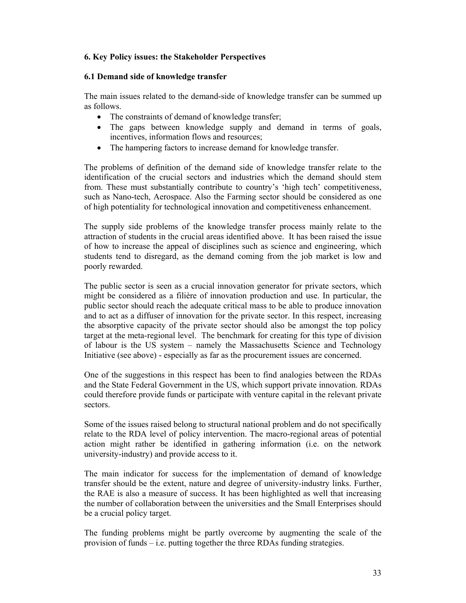## **6. Key Policy issues: the Stakeholder Perspectives**

## **6.1 Demand side of knowledge transfer**

The main issues related to the demand-side of knowledge transfer can be summed up as follows.

- The constraints of demand of knowledge transfer;
- The gaps between knowledge supply and demand in terms of goals, incentives, information flows and resources;
- The hampering factors to increase demand for knowledge transfer.

The problems of definition of the demand side of knowledge transfer relate to the identification of the crucial sectors and industries which the demand should stem from. These must substantially contribute to country's 'high tech' competitiveness, such as Nano-tech, Aerospace. Also the Farming sector should be considered as one of high potentiality for technological innovation and competitiveness enhancement.

The supply side problems of the knowledge transfer process mainly relate to the attraction of students in the crucial areas identified above. It has been raised the issue of how to increase the appeal of disciplines such as science and engineering, which students tend to disregard, as the demand coming from the job market is low and poorly rewarded.

The public sector is seen as a crucial innovation generator for private sectors, which might be considered as a filière of innovation production and use. In particular, the public sector should reach the adequate critical mass to be able to produce innovation and to act as a diffuser of innovation for the private sector. In this respect, increasing the absorptive capacity of the private sector should also be amongst the top policy target at the meta-regional level. The benchmark for creating for this type of division of labour is the US system – namely the Massachusetts Science and Technology Initiative (see above) - especially as far as the procurement issues are concerned.

One of the suggestions in this respect has been to find analogies between the RDAs and the State Federal Government in the US, which support private innovation. RDAs could therefore provide funds or participate with venture capital in the relevant private sectors.

Some of the issues raised belong to structural national problem and do not specifically relate to the RDA level of policy intervention. The macro-regional areas of potential action might rather be identified in gathering information (i.e. on the network university-industry) and provide access to it.

The main indicator for success for the implementation of demand of knowledge transfer should be the extent, nature and degree of university-industry links. Further, the RAE is also a measure of success. It has been highlighted as well that increasing the number of collaboration between the universities and the Small Enterprises should be a crucial policy target.

The funding problems might be partly overcome by augmenting the scale of the provision of funds – i.e. putting together the three RDAs funding strategies.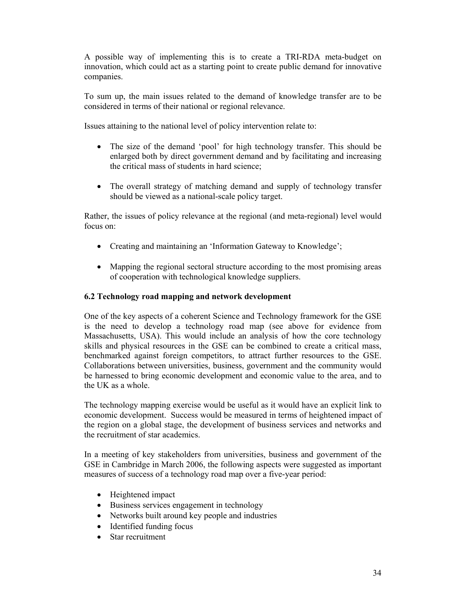A possible way of implementing this is to create a TRI-RDA meta-budget on innovation, which could act as a starting point to create public demand for innovative companies.

To sum up, the main issues related to the demand of knowledge transfer are to be considered in terms of their national or regional relevance.

Issues attaining to the national level of policy intervention relate to:

- The size of the demand 'pool' for high technology transfer. This should be enlarged both by direct government demand and by facilitating and increasing the critical mass of students in hard science;
- The overall strategy of matching demand and supply of technology transfer should be viewed as a national-scale policy target.

Rather, the issues of policy relevance at the regional (and meta-regional) level would focus on:

- Creating and maintaining an 'Information Gateway to Knowledge';
- Mapping the regional sectoral structure according to the most promising areas of cooperation with technological knowledge suppliers.

## **6.2 Technology road mapping and network development**

One of the key aspects of a coherent Science and Technology framework for the GSE is the need to develop a technology road map (see above for evidence from Massachusetts, USA). This would include an analysis of how the core technology skills and physical resources in the GSE can be combined to create a critical mass, benchmarked against foreign competitors, to attract further resources to the GSE. Collaborations between universities, business, government and the community would be harnessed to bring economic development and economic value to the area, and to the UK as a whole.

The technology mapping exercise would be useful as it would have an explicit link to economic development. Success would be measured in terms of heightened impact of the region on a global stage, the development of business services and networks and the recruitment of star academics.

In a meeting of key stakeholders from universities, business and government of the GSE in Cambridge in March 2006, the following aspects were suggested as important measures of success of a technology road map over a five-year period:

- Heightened impact
- Business services engagement in technology
- Networks built around key people and industries
- Identified funding focus
- Star recruitment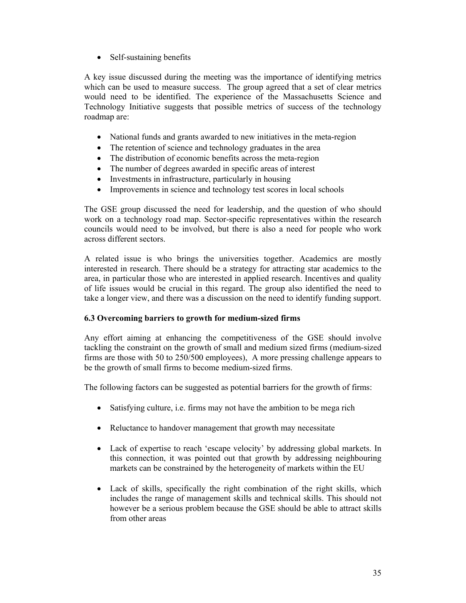• Self-sustaining benefits

A key issue discussed during the meeting was the importance of identifying metrics which can be used to measure success. The group agreed that a set of clear metrics would need to be identified. The experience of the Massachusetts Science and Technology Initiative suggests that possible metrics of success of the technology roadmap are:

- National funds and grants awarded to new initiatives in the meta-region
- The retention of science and technology graduates in the area
- The distribution of economic benefits across the meta-region
- The number of degrees awarded in specific areas of interest
- Investments in infrastructure, particularly in housing
- Improvements in science and technology test scores in local schools

The GSE group discussed the need for leadership, and the question of who should work on a technology road map. Sector-specific representatives within the research councils would need to be involved, but there is also a need for people who work across different sectors.

A related issue is who brings the universities together. Academics are mostly interested in research. There should be a strategy for attracting star academics to the area, in particular those who are interested in applied research. Incentives and quality of life issues would be crucial in this regard. The group also identified the need to take a longer view, and there was a discussion on the need to identify funding support.

## **6.3 Overcoming barriers to growth for medium-sized firms**

Any effort aiming at enhancing the competitiveness of the GSE should involve tackling the constraint on the growth of small and medium sized firms (medium-sized firms are those with 50 to 250/500 employees), A more pressing challenge appears to be the growth of small firms to become medium-sized firms.

The following factors can be suggested as potential barriers for the growth of firms:

- Satisfying culture, i.e. firms may not have the ambition to be mega rich
- Reluctance to handover management that growth may necessitate
- Lack of expertise to reach 'escape velocity' by addressing global markets. In this connection, it was pointed out that growth by addressing neighbouring markets can be constrained by the heterogeneity of markets within the EU
- Lack of skills, specifically the right combination of the right skills, which includes the range of management skills and technical skills. This should not however be a serious problem because the GSE should be able to attract skills from other areas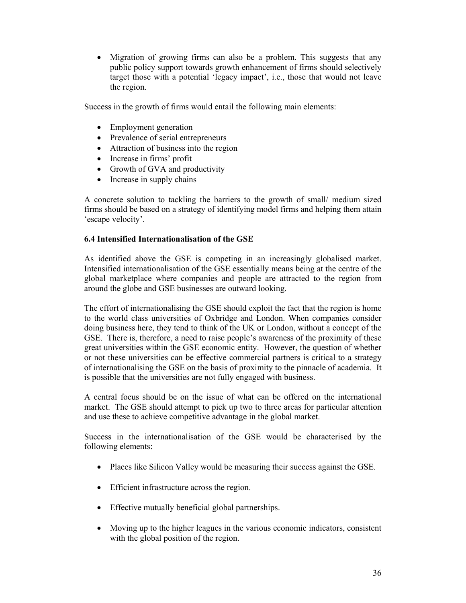• Migration of growing firms can also be a problem. This suggests that any public policy support towards growth enhancement of firms should selectively target those with a potential 'legacy impact', i.e., those that would not leave the region.

Success in the growth of firms would entail the following main elements:

- Employment generation
- Prevalence of serial entrepreneurs
- Attraction of business into the region
- Increase in firms' profit
- Growth of GVA and productivity
- Increase in supply chains

A concrete solution to tackling the barriers to the growth of small/ medium sized firms should be based on a strategy of identifying model firms and helping them attain 'escape velocity'.

## **6.4 Intensified Internationalisation of the GSE**

As identified above the GSE is competing in an increasingly globalised market. Intensified internationalisation of the GSE essentially means being at the centre of the global marketplace where companies and people are attracted to the region from around the globe and GSE businesses are outward looking.

The effort of internationalising the GSE should exploit the fact that the region is home to the world class universities of Oxbridge and London. When companies consider doing business here, they tend to think of the UK or London, without a concept of the GSE. There is, therefore, a need to raise people's awareness of the proximity of these great universities within the GSE economic entity. However, the question of whether or not these universities can be effective commercial partners is critical to a strategy of internationalising the GSE on the basis of proximity to the pinnacle of academia. It is possible that the universities are not fully engaged with business.

A central focus should be on the issue of what can be offered on the international market. The GSE should attempt to pick up two to three areas for particular attention and use these to achieve competitive advantage in the global market.

Success in the internationalisation of the GSE would be characterised by the following elements:

- Places like Silicon Valley would be measuring their success against the GSE.
- Efficient infrastructure across the region.
- Effective mutually beneficial global partnerships.
- Moving up to the higher leagues in the various economic indicators, consistent with the global position of the region.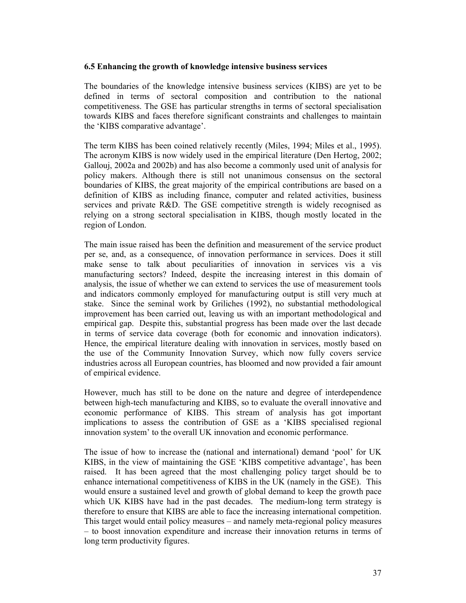### **6.5 Enhancing the growth of knowledge intensive business services**

The boundaries of the knowledge intensive business services (KIBS) are yet to be defined in terms of sectoral composition and contribution to the national competitiveness. The GSE has particular strengths in terms of sectoral specialisation towards KIBS and faces therefore significant constraints and challenges to maintain the 'KIBS comparative advantage'.

The term KIBS has been coined relatively recently (Miles, 1994; Miles et al., 1995). The acronym KIBS is now widely used in the empirical literature (Den Hertog, 2002; Gallouj, 2002a and 2002b) and has also become a commonly used unit of analysis for policy makers. Although there is still not unanimous consensus on the sectoral boundaries of KIBS, the great majority of the empirical contributions are based on a definition of KIBS as including finance, computer and related activities, business services and private R&D. The GSE competitive strength is widely recognised as relying on a strong sectoral specialisation in KIBS, though mostly located in the region of London.

The main issue raised has been the definition and measurement of the service product per se, and, as a consequence, of innovation performance in services. Does it still make sense to talk about peculiarities of innovation in services vis a vis manufacturing sectors? Indeed, despite the increasing interest in this domain of analysis, the issue of whether we can extend to services the use of measurement tools and indicators commonly employed for manufacturing output is still very much at stake. Since the seminal work by Griliches (1992), no substantial methodological improvement has been carried out, leaving us with an important methodological and empirical gap. Despite this, substantial progress has been made over the last decade in terms of service data coverage (both for economic and innovation indicators). Hence, the empirical literature dealing with innovation in services, mostly based on the use of the Community Innovation Survey, which now fully covers service industries across all European countries, has bloomed and now provided a fair amount of empirical evidence.

However, much has still to be done on the nature and degree of interdependence between high-tech manufacturing and KIBS, so to evaluate the overall innovative and economic performance of KIBS. This stream of analysis has got important implications to assess the contribution of GSE as a 'KIBS specialised regional innovation system' to the overall UK innovation and economic performance.

The issue of how to increase the (national and international) demand 'pool' for UK KIBS, in the view of maintaining the GSE 'KIBS competitive advantage', has been raised. It has been agreed that the most challenging policy target should be to enhance international competitiveness of KIBS in the UK (namely in the GSE). This would ensure a sustained level and growth of global demand to keep the growth pace which UK KIBS have had in the past decades. The medium-long term strategy is therefore to ensure that KIBS are able to face the increasing international competition. This target would entail policy measures – and namely meta-regional policy measures – to boost innovation expenditure and increase their innovation returns in terms of long term productivity figures.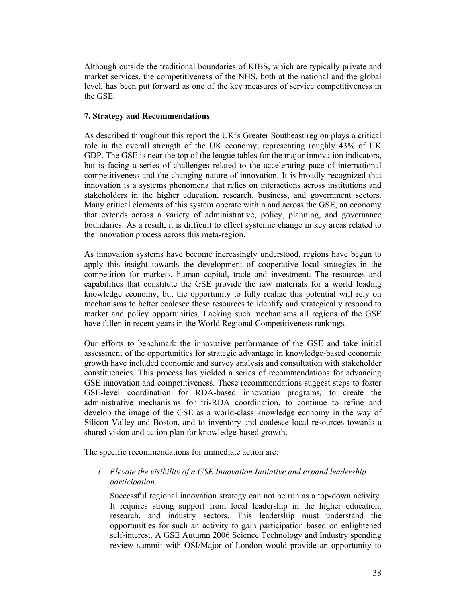Although outside the traditional boundaries of KIBS, which are typically private and market services, the competitiveness of the NHS, both at the national and the global level, has been put forward as one of the key measures of service competitiveness in the GSE.

## **7. Strategy and Recommendations**

As described throughout this report the UK's Greater Southeast region plays a critical role in the overall strength of the UK economy, representing roughly 43% of UK GDP. The GSE is near the top of the league tables for the major innovation indicators, but is facing a series of challenges related to the accelerating pace of international competitiveness and the changing nature of innovation. It is broadly recognized that innovation is a systems phenomena that relies on interactions across institutions and stakeholders in the higher education, research, business, and government sectors. Many critical elements of this system operate within and across the GSE, an economy that extends across a variety of administrative, policy, planning, and governance boundaries. As a result, it is difficult to effect systemic change in key areas related to the innovation process across this meta-region.

As innovation systems have become increasingly understood, regions have begun to apply this insight towards the development of cooperative local strategies in the competition for markets, human capital, trade and investment. The resources and capabilities that constitute the GSE provide the raw materials for a world leading knowledge economy, but the opportunity to fully realize this potential will rely on mechanisms to better coalesce these resources to identify and strategically respond to market and policy opportunities. Lacking such mechanisms all regions of the GSE have fallen in recent years in the World Regional Competitiveness rankings.

Our efforts to benchmark the innovative performance of the GSE and take initial assessment of the opportunities for strategic advantage in knowledge-based economic growth have included economic and survey analysis and consultation with stakeholder constituencies. This process has yielded a series of recommendations for advancing GSE innovation and competitiveness. These recommendations suggest steps to foster GSE-level coordination for RDA-based innovation programs, to create the administrative mechanisms for tri-RDA coordination, to continue to refine and develop the image of the GSE as a world-class knowledge economy in the way of Silicon Valley and Boston, and to inventory and coalesce local resources towards a shared vision and action plan for knowledge-based growth.

The specific recommendations for immediate action are:

## *1. Elevate the visibility of a GSE Innovation Initiative and expand leadership participation.*

Successful regional innovation strategy can not be run as a top-down activity. It requires strong support from local leadership in the higher education, research, and industry sectors. This leadership must understand the opportunities for such an activity to gain participation based on enlightened self-interest. A GSE Autumn 2006 Science Technology and Industry spending review summit with OSI/Major of London would provide an opportunity to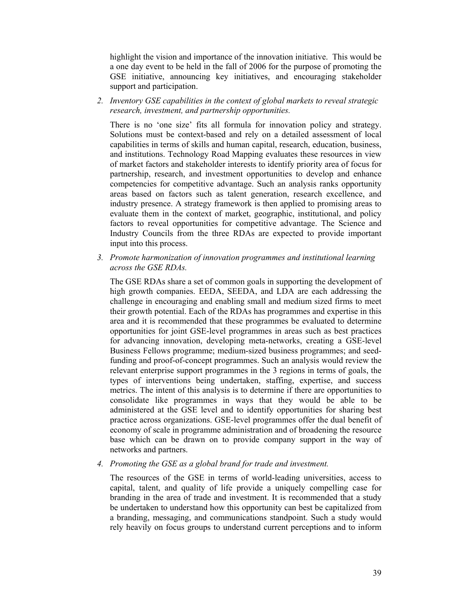highlight the vision and importance of the innovation initiative. This would be a one day event to be held in the fall of 2006 for the purpose of promoting the GSE initiative, announcing key initiatives, and encouraging stakeholder support and participation.

*2. Inventory GSE capabilities in the context of global markets to reveal strategic research, investment, and partnership opportunities.* 

There is no 'one size' fits all formula for innovation policy and strategy. Solutions must be context-based and rely on a detailed assessment of local capabilities in terms of skills and human capital, research, education, business, and institutions. Technology Road Mapping evaluates these resources in view of market factors and stakeholder interests to identify priority area of focus for partnership, research, and investment opportunities to develop and enhance competencies for competitive advantage. Such an analysis ranks opportunity areas based on factors such as talent generation, research excellence, and industry presence. A strategy framework is then applied to promising areas to evaluate them in the context of market, geographic, institutional, and policy factors to reveal opportunities for competitive advantage. The Science and Industry Councils from the three RDAs are expected to provide important input into this process.

*3. Promote harmonization of innovation programmes and institutional learning across the GSE RDAs.* 

The GSE RDAs share a set of common goals in supporting the development of high growth companies. EEDA, SEEDA, and LDA are each addressing the challenge in encouraging and enabling small and medium sized firms to meet their growth potential. Each of the RDAs has programmes and expertise in this area and it is recommended that these programmes be evaluated to determine opportunities for joint GSE-level programmes in areas such as best practices for advancing innovation, developing meta-networks, creating a GSE-level Business Fellows programme; medium-sized business programmes; and seedfunding and proof-of-concept programmes. Such an analysis would review the relevant enterprise support programmes in the 3 regions in terms of goals, the types of interventions being undertaken, staffing, expertise, and success metrics. The intent of this analysis is to determine if there are opportunities to consolidate like programmes in ways that they would be able to be administered at the GSE level and to identify opportunities for sharing best practice across organizations. GSE-level programmes offer the dual benefit of economy of scale in programme administration and of broadening the resource base which can be drawn on to provide company support in the way of networks and partners.

*4. Promoting the GSE as a global brand for trade and investment.* 

The resources of the GSE in terms of world-leading universities, access to capital, talent, and quality of life provide a uniquely compelling case for branding in the area of trade and investment. It is recommended that a study be undertaken to understand how this opportunity can best be capitalized from a branding, messaging, and communications standpoint. Such a study would rely heavily on focus groups to understand current perceptions and to inform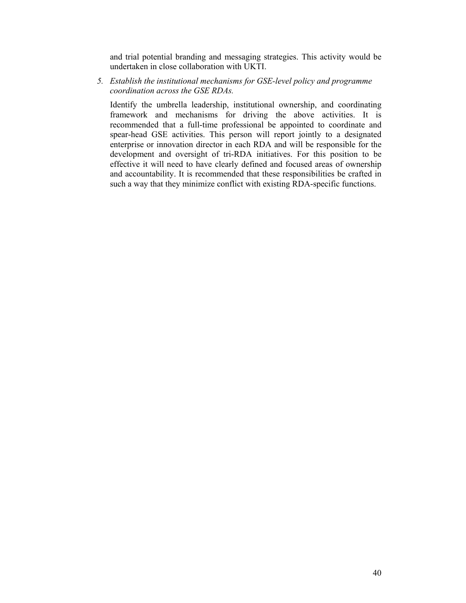and trial potential branding and messaging strategies. This activity would be undertaken in close collaboration with UKTI.

*5. Establish the institutional mechanisms for GSE-level policy and programme coordination across the GSE RDAs.* 

Identify the umbrella leadership, institutional ownership, and coordinating framework and mechanisms for driving the above activities. It is recommended that a full-time professional be appointed to coordinate and spear-head GSE activities. This person will report jointly to a designated enterprise or innovation director in each RDA and will be responsible for the development and oversight of tri-RDA initiatives. For this position to be effective it will need to have clearly defined and focused areas of ownership and accountability. It is recommended that these responsibilities be crafted in such a way that they minimize conflict with existing RDA-specific functions.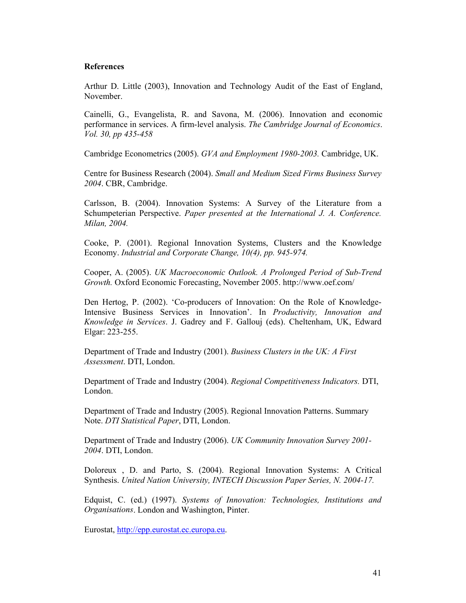## **References**

Arthur D. Little (2003), Innovation and Technology Audit of the East of England, November.

Cainelli, G., Evangelista, R. and Savona, M. (2006). Innovation and economic performance in services. A firm-level analysis. *The Cambridge Journal of Economics*. *Vol. 30, pp 435-458* 

Cambridge Econometrics (2005). *GVA and Employment 1980-2003.* Cambridge, UK.

Centre for Business Research (2004). *Small and Medium Sized Firms Business Survey 2004*. CBR, Cambridge.

Carlsson, B. (2004). Innovation Systems: A Survey of the Literature from a Schumpeterian Perspective. *Paper presented at the International J. A. Conference. Milan, 2004.* 

Cooke, P. (2001). Regional Innovation Systems, Clusters and the Knowledge Economy. *Industrial and Corporate Change, 10(4), pp. 945-974.* 

Cooper, A. (2005). *UK Macroeconomic Outlook. A Prolonged Period of Sub-Trend Growth.* Oxford Economic Forecasting, November 2005. http://www.oef.com/

Den Hertog, P. (2002). 'Co-producers of Innovation: On the Role of Knowledge-Intensive Business Services in Innovation'. In *Productivity, Innovation and Knowledge in Services*. J. Gadrey and F. Gallouj (eds). Cheltenham, UK, Edward Elgar: 223-255.

Department of Trade and Industry (2001). *Business Clusters in the UK: A First Assessment*. DTI, London.

Department of Trade and Industry (2004). *Regional Competitiveness Indicators.* DTI, London.

Department of Trade and Industry (2005). Regional Innovation Patterns. Summary Note. *DTI Statistical Paper*, DTI, London.

Department of Trade and Industry (2006). *UK Community Innovation Survey 2001- 2004*. DTI, London.

Doloreux , D. and Parto, S. (2004). Regional Innovation Systems: A Critical Synthesis. *United Nation University, INTECH Discussion Paper Series, N. 2004-17.* 

Edquist, C. (ed.) (1997). *Systems of Innovation: Technologies, Institutions and Organisations*. London and Washington, Pinter.

Eurostat, http://epp.eurostat.ec.europa.eu.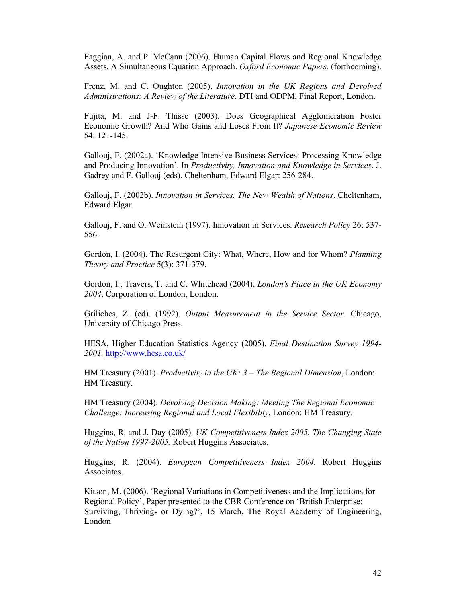Faggian, A. and P. McCann (2006). Human Capital Flows and Regional Knowledge Assets. A Simultaneous Equation Approach. *Oxford Economic Papers.* (forthcoming).

Frenz, M. and C. Oughton (2005). *Innovation in the UK Regions and Devolved Administrations: A Review of the Literature*. DTI and ODPM, Final Report, London.

Fujita, M. and J-F. Thisse (2003). Does Geographical Agglomeration Foster Economic Growth? And Who Gains and Loses From It? *Japanese Economic Review* 54: 121-145.

Gallouj, F. (2002a). 'Knowledge Intensive Business Services: Processing Knowledge and Producing Innovation'. In *Productivity, Innovation and Knowledge in Services*. J. Gadrey and F. Gallouj (eds). Cheltenham, Edward Elgar: 256-284.

Gallouj, F. (2002b). *Innovation in Services. The New Wealth of Nations*. Cheltenham, Edward Elgar.

Gallouj, F. and O. Weinstein (1997). Innovation in Services. *Research Policy* 26: 537- 556.

Gordon, I. (2004). The Resurgent City: What, Where, How and for Whom? *Planning Theory and Practice* 5(3): 371-379.

Gordon, I., Travers, T. and C. Whitehead (2004). *London's Place in the UK Economy 2004*. Corporation of London, London.

Griliches, Z. (ed). (1992). *Output Measurement in the Service Sector*. Chicago, University of Chicago Press.

HESA, Higher Education Statistics Agency (2005). *Final Destination Survey 1994- 2001.* http://www.hesa.co.uk/

HM Treasury (2001). *Productivity in the UK: 3 – The Regional Dimension*, London: HM Treasury.

HM Treasury (2004). *Devolving Decision Making: Meeting The Regional Economic Challenge: Increasing Regional and Local Flexibility*, London: HM Treasury.

Huggins, R. and J. Day (2005). *UK Competitiveness Index 2005. The Changing State of the Nation 1997-2005.* Robert Huggins Associates.

Huggins, R. (2004). *European Competitiveness Index 2004.* Robert Huggins Associates.

Kitson, M. (2006). 'Regional Variations in Competitiveness and the Implications for Regional Policy', Paper presented to the CBR Conference on 'British Enterprise: Surviving, Thriving- or Dying?', 15 March, The Royal Academy of Engineering, London